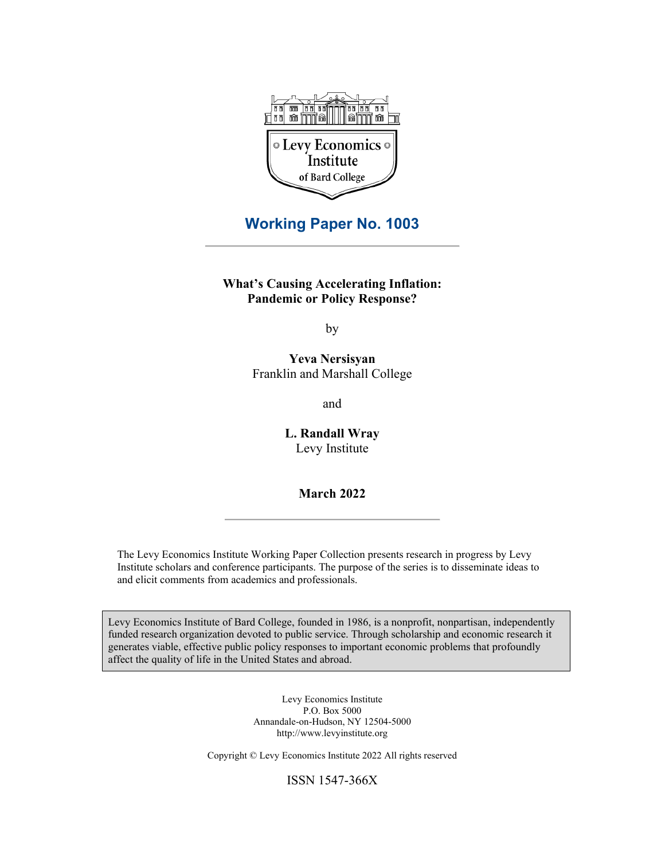

## **Working Paper No. 1003**

**What's Causing Accelerating Inflation: Pandemic or Policy Response?**

by

**Yeva Nersisyan** Franklin and Marshall College

and

**L. Randall Wray** Levy Institute

**March 2022**

The Levy Economics Institute Working Paper Collection presents research in progress by Levy Institute scholars and conference participants. The purpose of the series is to disseminate ideas to and elicit comments from academics and professionals.

Levy Economics Institute of Bard College, founded in 1986, is a nonprofit, nonpartisan, independently funded research organization devoted to public service. Through scholarship and economic research it generates viable, effective public policy responses to important economic problems that profoundly affect the quality of life in the United States and abroad.

> Levy Economics Institute P.O. Box 5000 Annandale-on-Hudson, NY 12504-5000 http://www.levyinstitute.org

Copyright © Levy Economics Institute 2022 All rights reserved

ISSN 1547-366X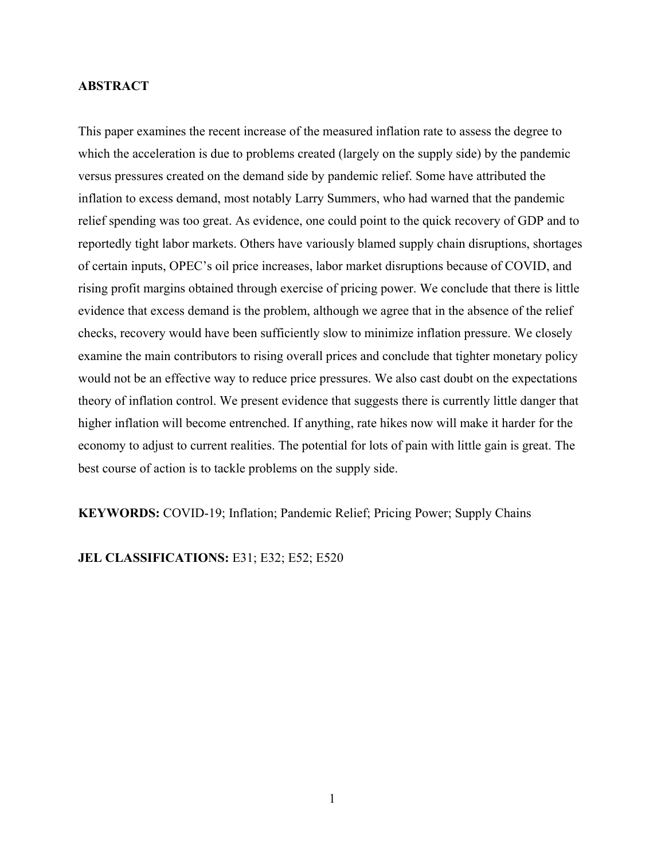## **ABSTRACT**

This paper examines the recent increase of the measured inflation rate to assess the degree to which the acceleration is due to problems created (largely on the supply side) by the pandemic versus pressures created on the demand side by pandemic relief. Some have attributed the inflation to excess demand, most notably Larry Summers, who had warned that the pandemic relief spending was too great. As evidence, one could point to the quick recovery of GDP and to reportedly tight labor markets. Others have variously blamed supply chain disruptions, shortages of certain inputs, OPEC's oil price increases, labor market disruptions because of COVID, and rising profit margins obtained through exercise of pricing power. We conclude that there is little evidence that excess demand is the problem, although we agree that in the absence of the relief checks, recovery would have been sufficiently slow to minimize inflation pressure. We closely examine the main contributors to rising overall prices and conclude that tighter monetary policy would not be an effective way to reduce price pressures. We also cast doubt on the expectations theory of inflation control. We present evidence that suggests there is currently little danger that higher inflation will become entrenched. If anything, rate hikes now will make it harder for the economy to adjust to current realities. The potential for lots of pain with little gain is great. The best course of action is to tackle problems on the supply side.

**KEYWORDS:** COVID-19; Inflation; Pandemic Relief; Pricing Power; Supply Chains

**JEL CLASSIFICATIONS: E31; E32; E52; E520**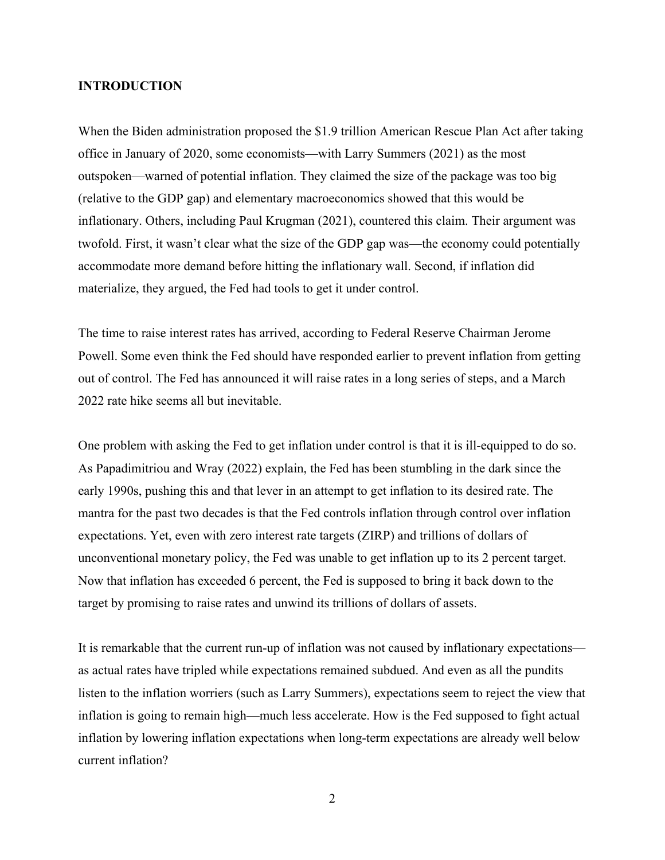## **INTRODUCTION**

When the Biden administration proposed the \$1.9 trillion American Rescue Plan Act after taking office in January of 2020, some economists—with Larry Summers (2021) as the most outspoken—warned of potential inflation. They claimed the size of the package was too big (relative to the GDP gap) and elementary macroeconomics showed that this would be inflationary. Others, including Paul Krugman (2021), countered this claim. Their argument was twofold. First, it wasn't clear what the size of the GDP gap was—the economy could potentially accommodate more demand before hitting the inflationary wall. Second, if inflation did materialize, they argued, the Fed had tools to get it under control.

The time to raise interest rates has arrived, according to Federal Reserve Chairman Jerome Powell. Some even think the Fed should have responded earlier to prevent inflation from getting out of control. The Fed has announced it will raise rates in a long series of steps, and a March 2022 rate hike seems all but inevitable.

One problem with asking the Fed to get inflation under control is that it is ill-equipped to do so. As Papadimitriou and Wray (2022) explain, the Fed has been stumbling in the dark since the early 1990s, pushing this and that lever in an attempt to get inflation to its desired rate. The mantra for the past two decades is that the Fed controls inflation through control over inflation expectations. Yet, even with zero interest rate targets (ZIRP) and trillions of dollars of unconventional monetary policy, the Fed was unable to get inflation up to its 2 percent target. Now that inflation has exceeded 6 percent, the Fed is supposed to bring it back down to the target by promising to raise rates and unwind its trillions of dollars of assets.

It is remarkable that the current run-up of inflation was not caused by inflationary expectations as actual rates have tripled while expectations remained subdued. And even as all the pundits listen to the inflation worriers (such as Larry Summers), expectations seem to reject the view that inflation is going to remain high—much less accelerate. How is the Fed supposed to fight actual inflation by lowering inflation expectations when long-term expectations are already well below current inflation?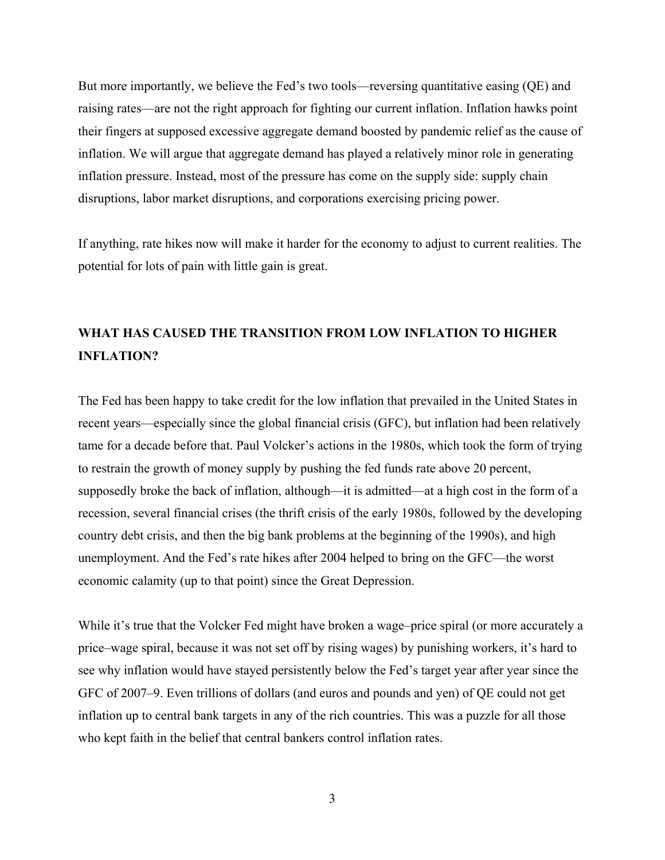But more importantly, we believe the Fed's two tools—reversing quantitative easing (QE) and raising rates—are not the right approach for fighting our current inflation. Inflation hawks point their fingers at supposed excessive aggregate demand boosted by pandemic relief as the cause of inflation. We will argue that aggregate demand has played a relatively minor role in generating inflation pressure. Instead, most of the pressure has come on the supply side: supply chain disruptions, labor market disruptions, and corporations exercising pricing power.

If anything, rate hikes now will make it harder for the economy to adjust to current realities. The potential for lots of pain with little gain is great.

# **WHAT HAS CAUSED THE TRANSITION FROM LOW INFLATION TO HIGHER INFLATION?**

The Fed has been happy to take credit for the low inflation that prevailed in the United States in recent years—especially since the global financial crisis (GFC), but inflation had been relatively tame for a decade before that. Paul Volcker's actions in the 1980s, which took the form of trying to restrain the growth of money supply by pushing the fed funds rate above 20 percent, supposedly broke the back of inflation, although—it is admitted—at a high cost in the form of a recession, several financial crises (the thrift crisis of the early 1980s, followed by the developing country debt crisis, and then the big bank problems at the beginning of the 1990s), and high unemployment. And the Fed's rate hikes after 2004 helped to bring on the GFC—the worst economic calamity (up to that point) since the Great Depression.

While it's true that the Volcker Fed might have broken a wage–price spiral (or more accurately a price–wage spiral, because it was not set off by rising wages) by punishing workers, it's hard to see why inflation would have stayed persistently below the Fed's target year after year since the GFC of 2007–9. Even trillions of dollars (and euros and pounds and yen) of QE could not get inflation up to central bank targets in any of the rich countries. This was a puzzle for all those who kept faith in the belief that central bankers control inflation rates.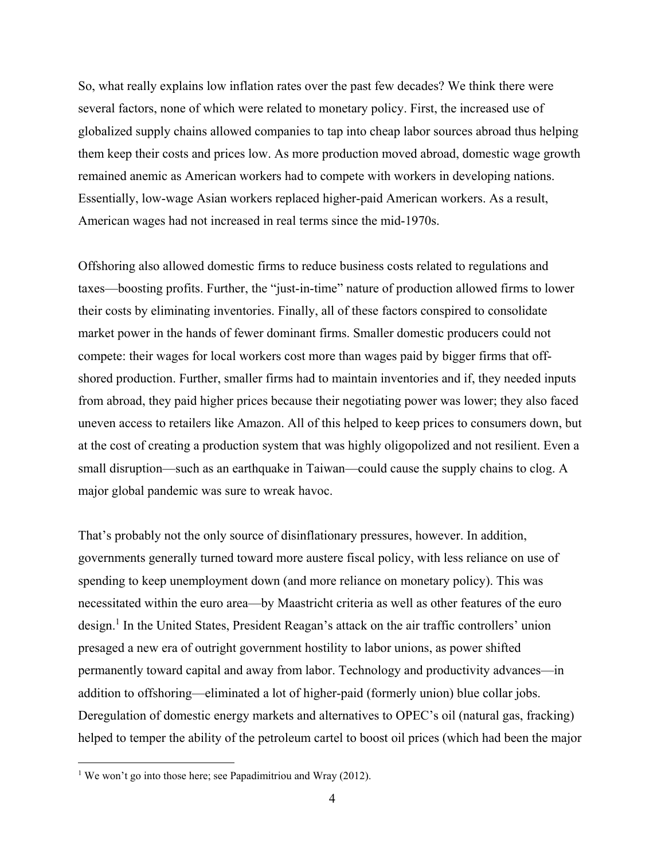So, what really explains low inflation rates over the past few decades? We think there were several factors, none of which were related to monetary policy. First, the increased use of globalized supply chains allowed companies to tap into cheap labor sources abroad thus helping them keep their costs and prices low. As more production moved abroad, domestic wage growth remained anemic as American workers had to compete with workers in developing nations. Essentially, low-wage Asian workers replaced higher-paid American workers. As a result, American wages had not increased in real terms since the mid-1970s.

Offshoring also allowed domestic firms to reduce business costs related to regulations and taxes—boosting profits. Further, the "just-in-time" nature of production allowed firms to lower their costs by eliminating inventories. Finally, all of these factors conspired to consolidate market power in the hands of fewer dominant firms. Smaller domestic producers could not compete: their wages for local workers cost more than wages paid by bigger firms that offshored production. Further, smaller firms had to maintain inventories and if, they needed inputs from abroad, they paid higher prices because their negotiating power was lower; they also faced uneven access to retailers like Amazon. All of this helped to keep prices to consumers down, but at the cost of creating a production system that was highly oligopolized and not resilient. Even a small disruption—such as an earthquake in Taiwan—could cause the supply chains to clog. A major global pandemic was sure to wreak havoc.

That's probably not the only source of disinflationary pressures, however. In addition, governments generally turned toward more austere fiscal policy, with less reliance on use of spending to keep unemployment down (and more reliance on monetary policy). This was necessitated within the euro area—by Maastricht criteria as well as other features of the euro design.<sup>1</sup> In the United States, President Reagan's attack on the air traffic controllers' union presaged a new era of outright government hostility to labor unions, as power shifted permanently toward capital and away from labor. Technology and productivity advances—in addition to offshoring—eliminated a lot of higher-paid (formerly union) blue collar jobs. Deregulation of domestic energy markets and alternatives to OPEC's oil (natural gas, fracking) helped to temper the ability of the petroleum cartel to boost oil prices (which had been the major

<sup>&</sup>lt;sup>1</sup> We won't go into those here; see Papadimitriou and Wray (2012).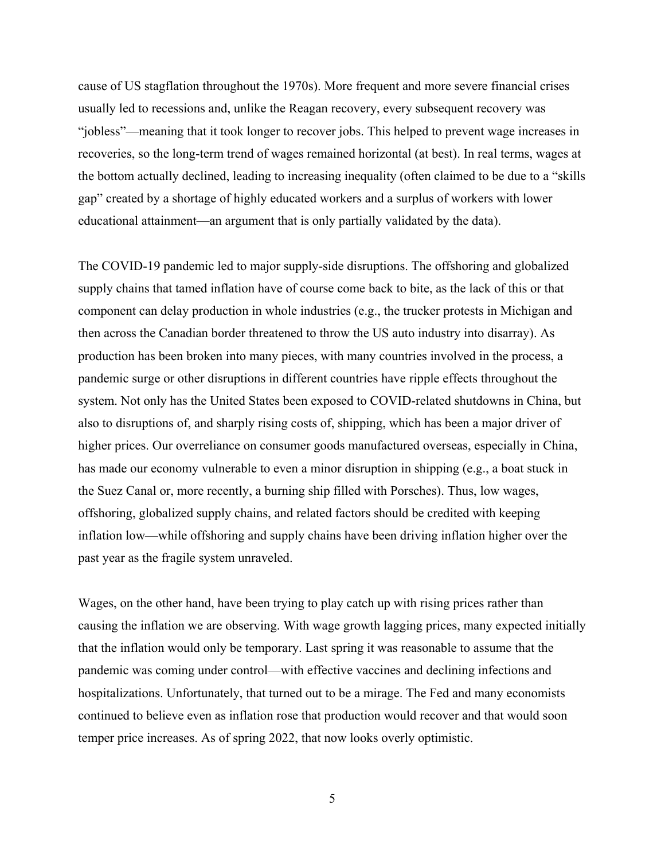cause of US stagflation throughout the 1970s). More frequent and more severe financial crises usually led to recessions and, unlike the Reagan recovery, every subsequent recovery was "jobless"—meaning that it took longer to recover jobs. This helped to prevent wage increases in recoveries, so the long-term trend of wages remained horizontal (at best). In real terms, wages at the bottom actually declined, leading to increasing inequality (often claimed to be due to a "skills gap" created by a shortage of highly educated workers and a surplus of workers with lower educational attainment—an argument that is only partially validated by the data).

The COVID-19 pandemic led to major supply-side disruptions. The offshoring and globalized supply chains that tamed inflation have of course come back to bite, as the lack of this or that component can delay production in whole industries (e.g., the trucker protests in Michigan and then across the Canadian border threatened to throw the US auto industry into disarray). As production has been broken into many pieces, with many countries involved in the process, a pandemic surge or other disruptions in different countries have ripple effects throughout the system. Not only has the United States been exposed to COVID-related shutdowns in China, but also to disruptions of, and sharply rising costs of, shipping, which has been a major driver of higher prices. Our overreliance on consumer goods manufactured overseas, especially in China, has made our economy vulnerable to even a minor disruption in shipping (e.g., a boat stuck in the Suez Canal or, more recently, a burning ship filled with Porsches). Thus, low wages, offshoring, globalized supply chains, and related factors should be credited with keeping inflation low—while offshoring and supply chains have been driving inflation higher over the past year as the fragile system unraveled.

Wages, on the other hand, have been trying to play catch up with rising prices rather than causing the inflation we are observing. With wage growth lagging prices, many expected initially that the inflation would only be temporary. Last spring it was reasonable to assume that the pandemic was coming under control—with effective vaccines and declining infections and hospitalizations. Unfortunately, that turned out to be a mirage. The Fed and many economists continued to believe even as inflation rose that production would recover and that would soon temper price increases. As of spring 2022, that now looks overly optimistic.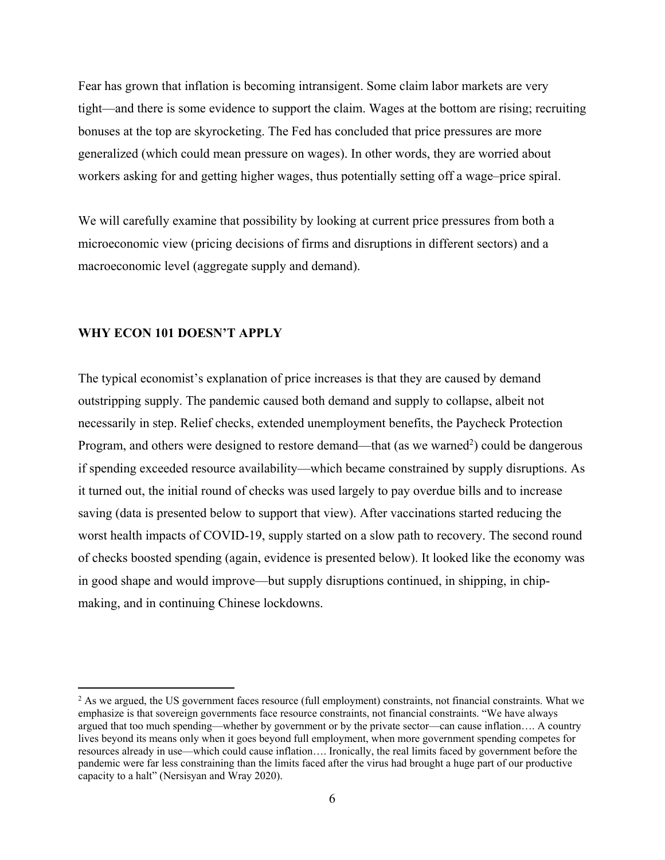Fear has grown that inflation is becoming intransigent. Some claim labor markets are very tight—and there is some evidence to support the claim. Wages at the bottom are rising; recruiting bonuses at the top are skyrocketing. The Fed has concluded that price pressures are more generalized (which could mean pressure on wages). In other words, they are worried about workers asking for and getting higher wages, thus potentially setting off a wage–price spiral.

We will carefully examine that possibility by looking at current price pressures from both a microeconomic view (pricing decisions of firms and disruptions in different sectors) and a macroeconomic level (aggregate supply and demand).

#### **WHY ECON 101 DOESN'T APPLY**

The typical economist's explanation of price increases is that they are caused by demand outstripping supply. The pandemic caused both demand and supply to collapse, albeit not necessarily in step. Relief checks, extended unemployment benefits, the Paycheck Protection Program, and others were designed to restore demand—that (as we warned<sup>2</sup>) could be dangerous if spending exceeded resource availability—which became constrained by supply disruptions. As it turned out, the initial round of checks was used largely to pay overdue bills and to increase saving (data is presented below to support that view). After vaccinations started reducing the worst health impacts of COVID-19, supply started on a slow path to recovery. The second round of checks boosted spending (again, evidence is presented below). It looked like the economy was in good shape and would improve—but supply disruptions continued, in shipping, in chipmaking, and in continuing Chinese lockdowns.

<sup>&</sup>lt;sup>2</sup> As we argued, the US government faces resource (full employment) constraints, not financial constraints. What we emphasize is that sovereign governments face resource constraints, not financial constraints. "We have always argued that too much spending—whether by government or by the private sector—can cause inflation…. A country lives beyond its means only when it goes beyond full employment, when more government spending competes for resources already in use—which could cause inflation…. Ironically, the real limits faced by government before the pandemic were far less constraining than the limits faced after the virus had brought a huge part of our productive capacity to a halt" (Nersisyan and Wray 2020).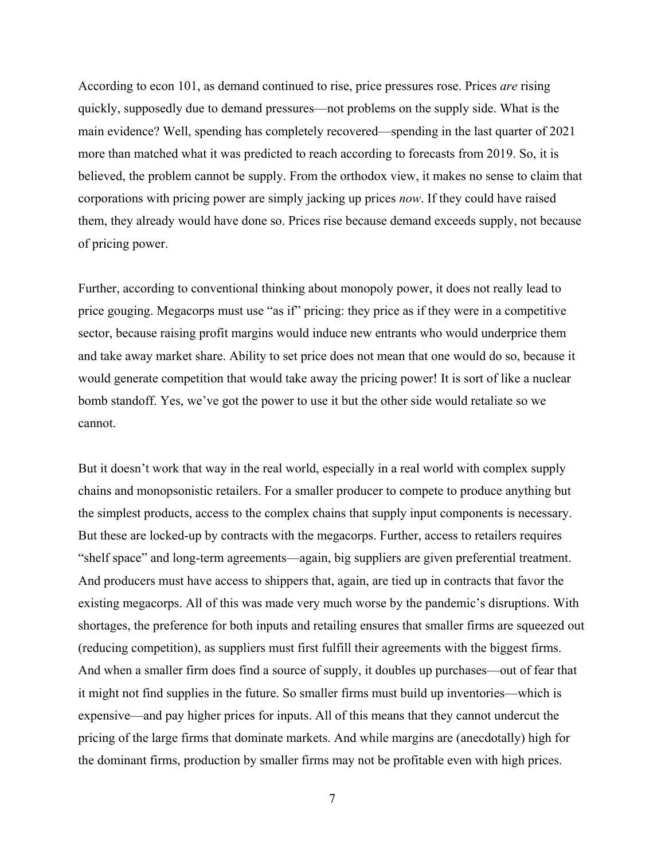According to econ 101, as demand continued to rise, price pressures rose. Prices *are* rising quickly, supposedly due to demand pressures—not problems on the supply side. What is the main evidence? Well, spending has completely recovered—spending in the last quarter of 2021 more than matched what it was predicted to reach according to forecasts from 2019. So, it is believed, the problem cannot be supply. From the orthodox view, it makes no sense to claim that corporations with pricing power are simply jacking up prices *now*. If they could have raised them, they already would have done so. Prices rise because demand exceeds supply, not because of pricing power.

Further, according to conventional thinking about monopoly power, it does not really lead to price gouging. Megacorps must use "as if" pricing: they price as if they were in a competitive sector, because raising profit margins would induce new entrants who would underprice them and take away market share. Ability to set price does not mean that one would do so, because it would generate competition that would take away the pricing power! It is sort of like a nuclear bomb standoff. Yes, we've got the power to use it but the other side would retaliate so we cannot.

But it doesn't work that way in the real world, especially in a real world with complex supply chains and monopsonistic retailers. For a smaller producer to compete to produce anything but the simplest products, access to the complex chains that supply input components is necessary. But these are locked-up by contracts with the megacorps. Further, access to retailers requires "shelf space" and long-term agreements—again, big suppliers are given preferential treatment. And producers must have access to shippers that, again, are tied up in contracts that favor the existing megacorps. All of this was made very much worse by the pandemic's disruptions. With shortages, the preference for both inputs and retailing ensures that smaller firms are squeezed out (reducing competition), as suppliers must first fulfill their agreements with the biggest firms. And when a smaller firm does find a source of supply, it doubles up purchases—out of fear that it might not find supplies in the future. So smaller firms must build up inventories—which is expensive—and pay higher prices for inputs. All of this means that they cannot undercut the pricing of the large firms that dominate markets. And while margins are (anecdotally) high for the dominant firms, production by smaller firms may not be profitable even with high prices.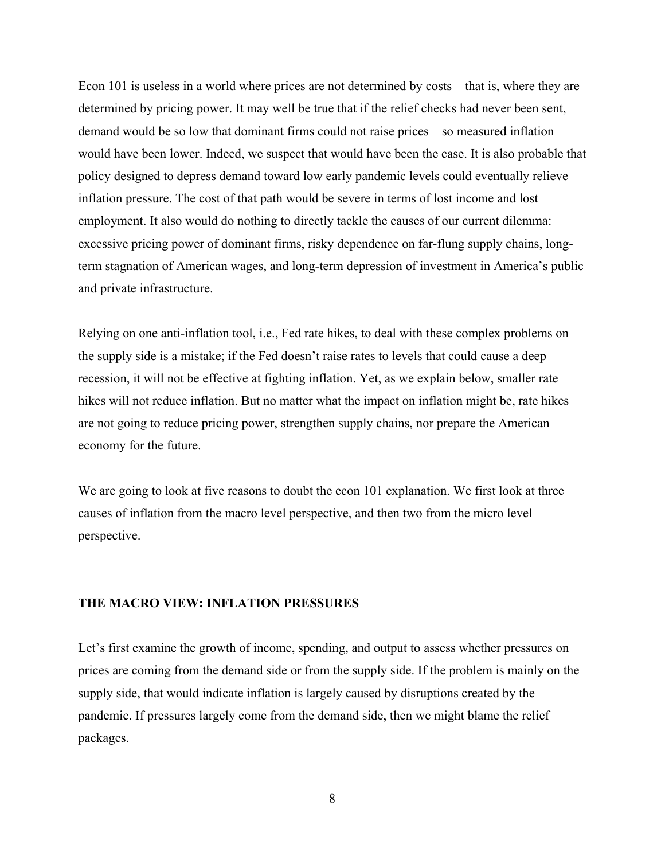Econ 101 is useless in a world where prices are not determined by costs—that is, where they are determined by pricing power. It may well be true that if the relief checks had never been sent, demand would be so low that dominant firms could not raise prices—so measured inflation would have been lower. Indeed, we suspect that would have been the case. It is also probable that policy designed to depress demand toward low early pandemic levels could eventually relieve inflation pressure. The cost of that path would be severe in terms of lost income and lost employment. It also would do nothing to directly tackle the causes of our current dilemma: excessive pricing power of dominant firms, risky dependence on far-flung supply chains, longterm stagnation of American wages, and long-term depression of investment in America's public and private infrastructure.

Relying on one anti-inflation tool, i.e., Fed rate hikes, to deal with these complex problems on the supply side is a mistake; if the Fed doesn't raise rates to levels that could cause a deep recession, it will not be effective at fighting inflation. Yet, as we explain below, smaller rate hikes will not reduce inflation. But no matter what the impact on inflation might be, rate hikes are not going to reduce pricing power, strengthen supply chains, nor prepare the American economy for the future.

We are going to look at five reasons to doubt the econ 101 explanation. We first look at three causes of inflation from the macro level perspective, and then two from the micro level perspective.

## **THE MACRO VIEW: INFLATION PRESSURES**

Let's first examine the growth of income, spending, and output to assess whether pressures on prices are coming from the demand side or from the supply side. If the problem is mainly on the supply side, that would indicate inflation is largely caused by disruptions created by the pandemic. If pressures largely come from the demand side, then we might blame the relief packages.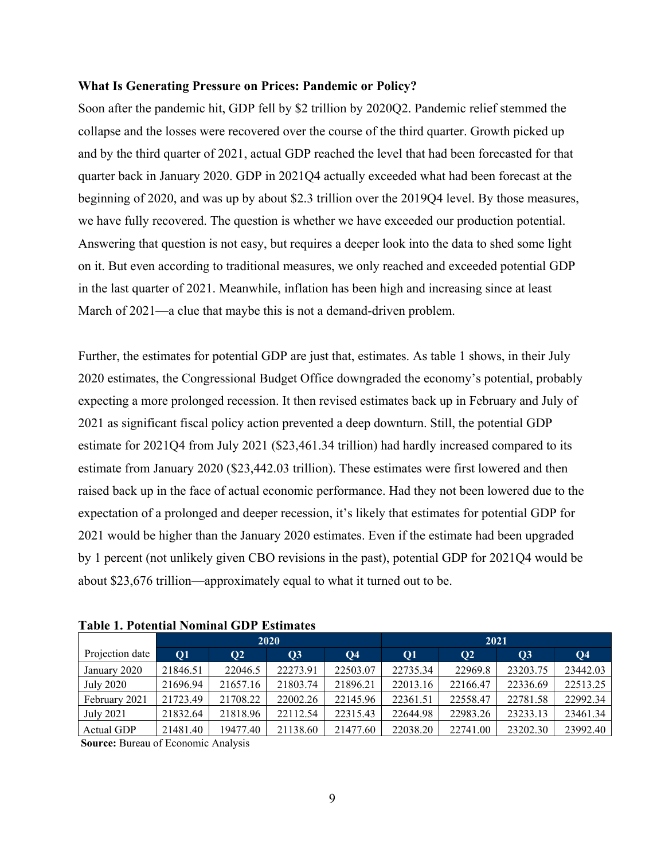#### **What Is Generating Pressure on Prices: Pandemic or Policy?**

Soon after the pandemic hit, GDP fell by \$2 trillion by 2020Q2. Pandemic relief stemmed the collapse and the losses were recovered over the course of the third quarter. Growth picked up and by the third quarter of 2021, actual GDP reached the level that had been forecasted for that quarter back in January 2020. GDP in 2021Q4 actually exceeded what had been forecast at the beginning of 2020, and was up by about \$2.3 trillion over the 2019Q4 level. By those measures, we have fully recovered. The question is whether we have exceeded our production potential. Answering that question is not easy, but requires a deeper look into the data to shed some light on it. But even according to traditional measures, we only reached and exceeded potential GDP in the last quarter of 2021. Meanwhile, inflation has been high and increasing since at least March of 2021—a clue that maybe this is not a demand-driven problem.

Further, the estimates for potential GDP are just that, estimates. As table 1 shows, in their July 2020 estimates, the Congressional Budget Office downgraded the economy's potential, probably expecting a more prolonged recession. It then revised estimates back up in February and July of 2021 as significant fiscal policy action prevented a deep downturn. Still, the potential GDP estimate for 2021Q4 from July 2021 (\$23,461.34 trillion) had hardly increased compared to its estimate from January 2020 (\$23,442.03 trillion). These estimates were first lowered and then raised back up in the face of actual economic performance. Had they not been lowered due to the expectation of a prolonged and deeper recession, it's likely that estimates for potential GDP for 2021 would be higher than the January 2020 estimates. Even if the estimate had been upgraded by 1 percent (not unlikely given CBO revisions in the past), potential GDP for 2021Q4 would be about \$23,676 trillion—approximately equal to what it turned out to be.

|                 | 2020     |           |           |           | 2021      |               |                 |                |  |
|-----------------|----------|-----------|-----------|-----------|-----------|---------------|-----------------|----------------|--|
| Projection date | Q1       | <b>O2</b> | <b>O3</b> | <b>O4</b> | <b>O1</b> | $\mathbf{O}2$ | $\overline{O3}$ | Q <sub>4</sub> |  |
| January 2020    | 21846.51 | 22046.5   | 22273.91  | 22503.07  | 22735.34  | 22969.8       | 23203.75        | 23442.03       |  |
| July 2020       | 21696.94 | 21657.16  | 21803.74  | 21896.21  | 22013.16  | 22166.47      | 22336.69        | 22513.25       |  |
| February 2021   | 21723.49 | 21708.22  | 22002.26  | 22145.96  | 22361.51  | 22558.47      | 22781.58        | 22992.34       |  |
| July 2021       | 21832.64 | 21818.96  | 22112.54  | 22315.43  | 22644.98  | 22983.26      | 23233.13        | 23461.34       |  |
| Actual GDP      | 21481.40 | 19477.40  | 21138.60  | 21477.60  | 22038.20  | 22741.00      | 23202.30        | 23992.40       |  |

**Table 1. Potential Nominal GDP Estimates** 

 **Source:** Bureau of Economic Analysis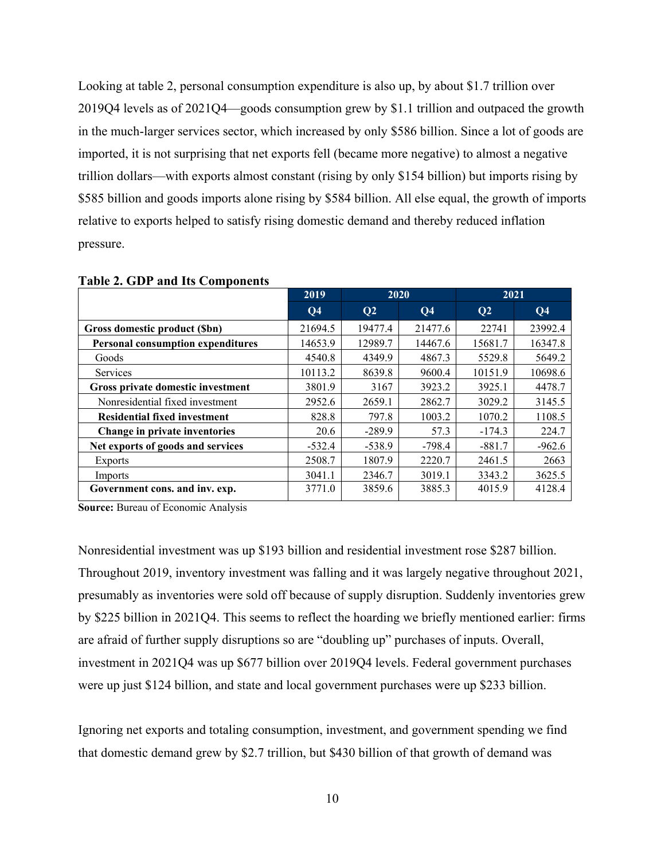Looking at table 2, personal consumption expenditure is also up, by about \$1.7 trillion over 2019Q4 levels as of 2021Q4—goods consumption grew by \$1.1 trillion and outpaced the growth in the much-larger services sector, which increased by only \$586 billion. Since a lot of goods are imported, it is not surprising that net exports fell (became more negative) to almost a negative trillion dollars—with exports almost constant (rising by only \$154 billion) but imports rising by \$585 billion and goods imports alone rising by \$584 billion. All else equal, the growth of imports relative to exports helped to satisfy rising domestic demand and thereby reduced inflation pressure.

| 2019           | 2020           |                | 2021           |                |
|----------------|----------------|----------------|----------------|----------------|
| Q <sub>4</sub> | Q <sub>2</sub> | Q <sub>4</sub> | Q <sub>2</sub> | Q <sub>4</sub> |
| 21694.5        | 19477.4        | 21477.6        | 22741          | 23992.4        |
| 14653.9        | 12989.7        | 14467.6        | 15681.7        | 16347.8        |
| 4540.8         | 4349.9         | 4867.3         | 5529.8         | 5649.2         |
| 10113.2        | 8639.8         | 9600.4         | 10151.9        | 10698.6        |
| 3801.9         | 3167           | 3923.2         | 3925.1         | 4478.7         |
| 2952.6         | 2659.1         | 2862.7         | 3029.2         | 3145.5         |
| 828.8          | 797.8          | 1003.2         | 1070.2         | 1108.5         |
| 20.6           | $-289.9$       | 57.3           | $-174.3$       | 224.7          |
| $-532.4$       | $-538.9$       | $-798.4$       | $-881.7$       | $-962.6$       |
| 2508.7         | 1807.9         | 2220.7         | 2461.5         | 2663           |
| 3041.1         | 2346.7         | 3019.1         | 3343.2         | 3625.5         |
| 3771.0         | 3859.6         | 3885.3         | 4015.9         | 4128.4         |
|                |                |                |                |                |

**Table 2. GDP and Its Components** 

**Source:** Bureau of Economic Analysis

Nonresidential investment was up \$193 billion and residential investment rose \$287 billion. Throughout 2019, inventory investment was falling and it was largely negative throughout 2021, presumably as inventories were sold off because of supply disruption. Suddenly inventories grew by \$225 billion in 2021Q4. This seems to reflect the hoarding we briefly mentioned earlier: firms are afraid of further supply disruptions so are "doubling up" purchases of inputs. Overall, investment in 2021Q4 was up \$677 billion over 2019Q4 levels. Federal government purchases were up just \$124 billion, and state and local government purchases were up \$233 billion.

Ignoring net exports and totaling consumption, investment, and government spending we find that domestic demand grew by \$2.7 trillion, but \$430 billion of that growth of demand was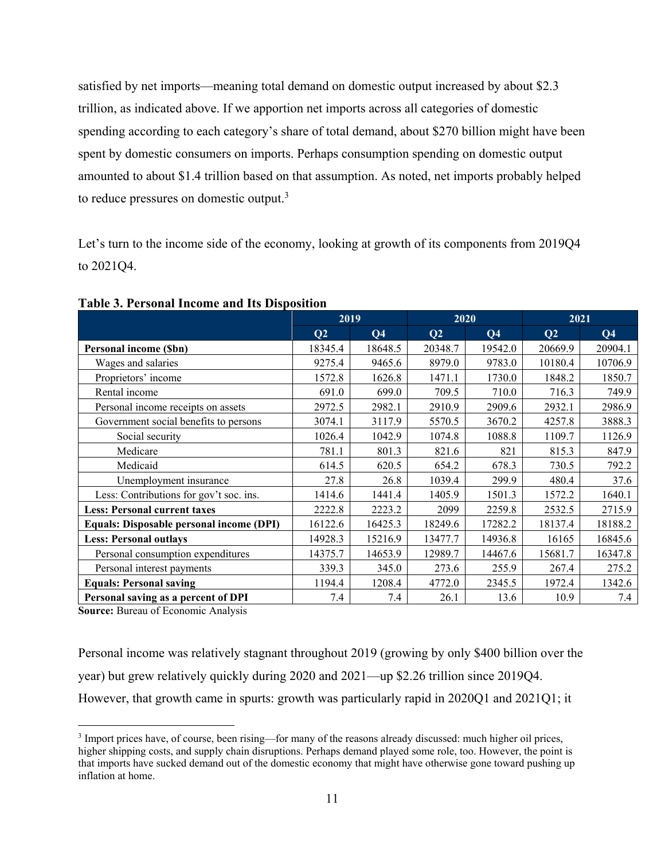satisfied by net imports—meaning total demand on domestic output increased by about \$2.3 trillion, as indicated above. If we apportion net imports across all categories of domestic spending according to each category's share of total demand, about \$270 billion might have been spent by domestic consumers on imports. Perhaps consumption spending on domestic output amounted to about \$1.4 trillion based on that assumption. As noted, net imports probably helped to reduce pressures on domestic output. $3$ 

Let's turn to the income side of the economy, looking at growth of its components from 2019Q4 to 2021Q4.

|                                          | 2019    |                | 2020           |                | 2021    |                |
|------------------------------------------|---------|----------------|----------------|----------------|---------|----------------|
|                                          | Q2      | Q <sub>4</sub> | Q <sub>2</sub> | Q <sub>4</sub> | Q2      | Q <sub>4</sub> |
| <b>Personal income (Sbn)</b>             | 18345.4 | 18648.5        | 20348.7        | 19542.0        | 20669.9 | 20904.1        |
| Wages and salaries                       | 9275.4  | 9465.6         | 8979.0         | 9783.0         | 10180.4 | 10706.9        |
| Proprietors' income                      | 1572.8  | 1626.8         | 1471.1         | 1730.0         | 1848.2  | 1850.7         |
| Rental income                            | 691.0   | 699.0          | 709.5          | 710.0          | 716.3   | 749.9          |
| Personal income receipts on assets       | 2972.5  | 2982.1         | 2910.9         | 2909.6         | 2932.1  | 2986.9         |
| Government social benefits to persons    | 3074.1  | 3117.9         | 5570.5         | 3670.2         | 4257.8  | 3888.3         |
| Social security                          | 1026.4  | 1042.9         | 1074.8         | 1088.8         | 1109.7  | 1126.9         |
| Medicare                                 | 781.1   | 801.3          | 821.6          | 821            | 815.3   | 847.9          |
| Medicaid                                 | 614.5   | 620.5          | 654.2          | 678.3          | 730.5   | 792.2          |
| Unemployment insurance                   | 27.8    | 26.8           | 1039.4         | 299.9          | 480.4   | 37.6           |
| Less: Contributions for gov't soc. ins.  | 1414.6  | 1441.4         | 1405.9         | 1501.3         | 1572.2  | 1640.1         |
| <b>Less: Personal current taxes</b>      | 2222.8  | 2223.2         | 2099           | 2259.8         | 2532.5  | 2715.9         |
| Equals: Disposable personal income (DPI) | 16122.6 | 16425.3        | 18249.6        | 17282.2        | 18137.4 | 18188.2        |
| <b>Less: Personal outlays</b>            | 14928.3 | 15216.9        | 13477.7        | 14936.8        | 16165   | 16845.6        |
| Personal consumption expenditures        | 14375.7 | 14653.9        | 12989.7        | 14467.6        | 15681.7 | 16347.8        |
| Personal interest payments               | 339.3   | 345.0          | 273.6          | 255.9          | 267.4   | 275.2          |
| <b>Equals: Personal saving</b>           | 1194.4  | 1208.4         | 4772.0         | 2345.5         | 1972.4  | 1342.6         |
| Personal saving as a percent of DPI      | 7.4     | 7.4            | 26.1           | 13.6           | 10.9    | 7.4            |

**Table 3. Personal Income and Its Disposition** 

**Source: Bureau of Economic Analysis** 

Personal income was relatively stagnant throughout 2019 (growing by only \$400 billion over the year) but grew relatively quickly during 2020 and 2021—up \$2.26 trillion since 2019Q4. However, that growth came in spurts: growth was particularly rapid in 2020Q1 and 2021Q1; it

<sup>&</sup>lt;sup>3</sup> Import prices have, of course, been rising—for many of the reasons already discussed: much higher oil prices, higher shipping costs, and supply chain disruptions. Perhaps demand played some role, too. However, the point is that imports have sucked demand out of the domestic economy that might have otherwise gone toward pushing up inflation at home.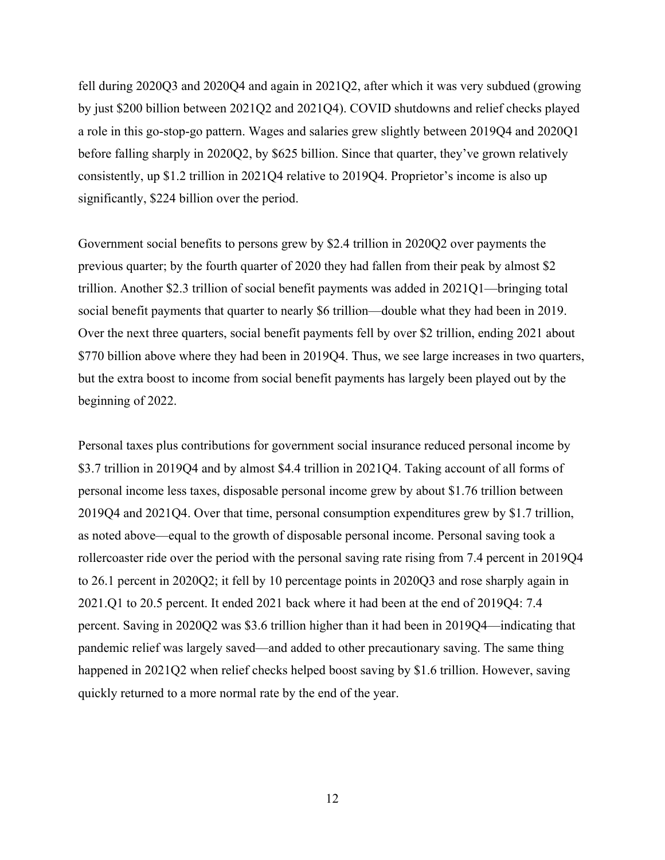fell during 2020Q3 and 2020Q4 and again in 2021Q2, after which it was very subdued (growing by just \$200 billion between 2021Q2 and 2021Q4). COVID shutdowns and relief checks played a role in this go-stop-go pattern. Wages and salaries grew slightly between 2019Q4 and 2020Q1 before falling sharply in 2020Q2, by \$625 billion. Since that quarter, they've grown relatively consistently, up \$1.2 trillion in 2021Q4 relative to 2019Q4. Proprietor's income is also up significantly, \$224 billion over the period.

Government social benefits to persons grew by \$2.4 trillion in 2020Q2 over payments the previous quarter; by the fourth quarter of 2020 they had fallen from their peak by almost \$2 trillion. Another \$2.3 trillion of social benefit payments was added in 2021Q1—bringing total social benefit payments that quarter to nearly \$6 trillion—double what they had been in 2019. Over the next three quarters, social benefit payments fell by over \$2 trillion, ending 2021 about \$770 billion above where they had been in 2019Q4. Thus, we see large increases in two quarters, but the extra boost to income from social benefit payments has largely been played out by the beginning of 2022.

Personal taxes plus contributions for government social insurance reduced personal income by \$3.7 trillion in 2019Q4 and by almost \$4.4 trillion in 2021Q4. Taking account of all forms of personal income less taxes, disposable personal income grew by about \$1.76 trillion between 2019Q4 and 2021Q4. Over that time, personal consumption expenditures grew by \$1.7 trillion, as noted above—equal to the growth of disposable personal income. Personal saving took a rollercoaster ride over the period with the personal saving rate rising from 7.4 percent in 2019Q4 to 26.1 percent in 2020Q2; it fell by 10 percentage points in 2020Q3 and rose sharply again in 2021.Q1 to 20.5 percent. It ended 2021 back where it had been at the end of 2019Q4: 7.4 percent. Saving in 2020Q2 was \$3.6 trillion higher than it had been in 2019Q4—indicating that pandemic relief was largely saved—and added to other precautionary saving. The same thing happened in 2021Q2 when relief checks helped boost saving by \$1.6 trillion. However, saving quickly returned to a more normal rate by the end of the year.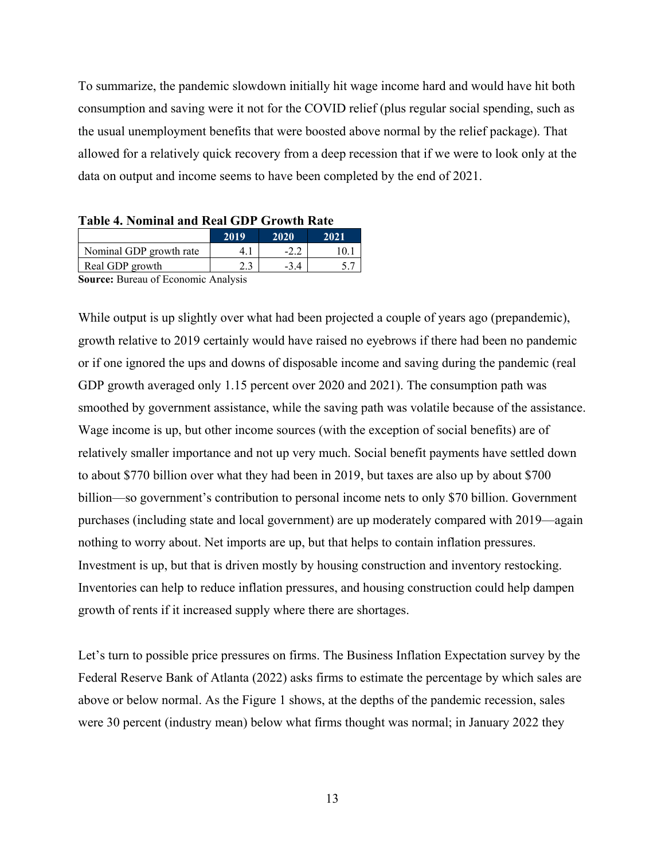To summarize, the pandemic slowdown initially hit wage income hard and would have hit both consumption and saving were it not for the COVID relief (plus regular social spending, such as the usual unemployment benefits that were boosted above normal by the relief package). That allowed for a relatively quick recovery from a deep recession that if we were to look only at the data on output and income seems to have been completed by the end of 2021.

| 2019<br>2020<br>2021                   |
|----------------------------------------|
| Nominal GDP growth rate<br>10.<br>4. . |
| Real GDP growth                        |
| Source: Bureau of Feonomic Analysis    |

**Table 4. Nominal and Real GDP Growth Rate** 

**Source:** Bureau of Economic Analysis

While output is up slightly over what had been projected a couple of years ago (prepandemic), growth relative to 2019 certainly would have raised no eyebrows if there had been no pandemic or if one ignored the ups and downs of disposable income and saving during the pandemic (real GDP growth averaged only 1.15 percent over 2020 and 2021). The consumption path was smoothed by government assistance, while the saving path was volatile because of the assistance. Wage income is up, but other income sources (with the exception of social benefits) are of relatively smaller importance and not up very much. Social benefit payments have settled down to about \$770 billion over what they had been in 2019, but taxes are also up by about \$700 billion—so government's contribution to personal income nets to only \$70 billion. Government purchases (including state and local government) are up moderately compared with 2019—again nothing to worry about. Net imports are up, but that helps to contain inflation pressures. Investment is up, but that is driven mostly by housing construction and inventory restocking. Inventories can help to reduce inflation pressures, and housing construction could help dampen growth of rents if it increased supply where there are shortages.

Let's turn to possible price pressures on firms. The Business Inflation Expectation survey by the Federal Reserve Bank of Atlanta (2022) asks firms to estimate the percentage by which sales are above or below normal. As the Figure 1 shows, at the depths of the pandemic recession, sales were 30 percent (industry mean) below what firms thought was normal; in January 2022 they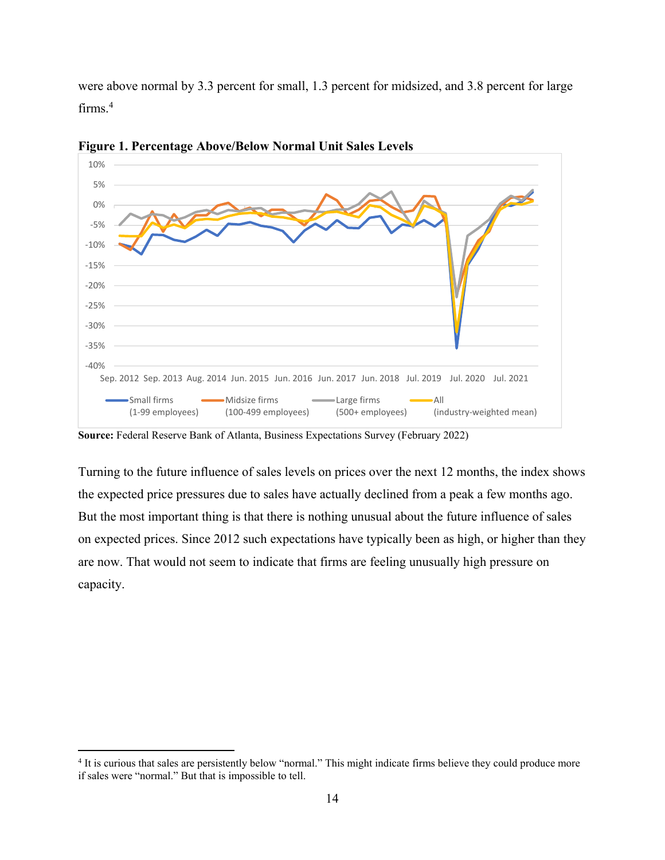were above normal by 3.3 percent for small, 1.3 percent for midsized, and 3.8 percent for large firms.<sup>4</sup>



**Figure 1. Percentage Above/Below Normal Unit Sales Levels** 

**Source:** Federal Reserve Bank of Atlanta, Business Expectations Survey (February 2022)

Turning to the future influence of sales levels on prices over the next 12 months, the index shows the expected price pressures due to sales have actually declined from a peak a few months ago. But the most important thing is that there is nothing unusual about the future influence of sales on expected prices. Since 2012 such expectations have typically been as high, or higher than they are now. That would not seem to indicate that firms are feeling unusually high pressure on capacity.

<sup>&</sup>lt;sup>4</sup> It is curious that sales are persistently below "normal." This might indicate firms believe they could produce more if sales were "normal." But that is impossible to tell.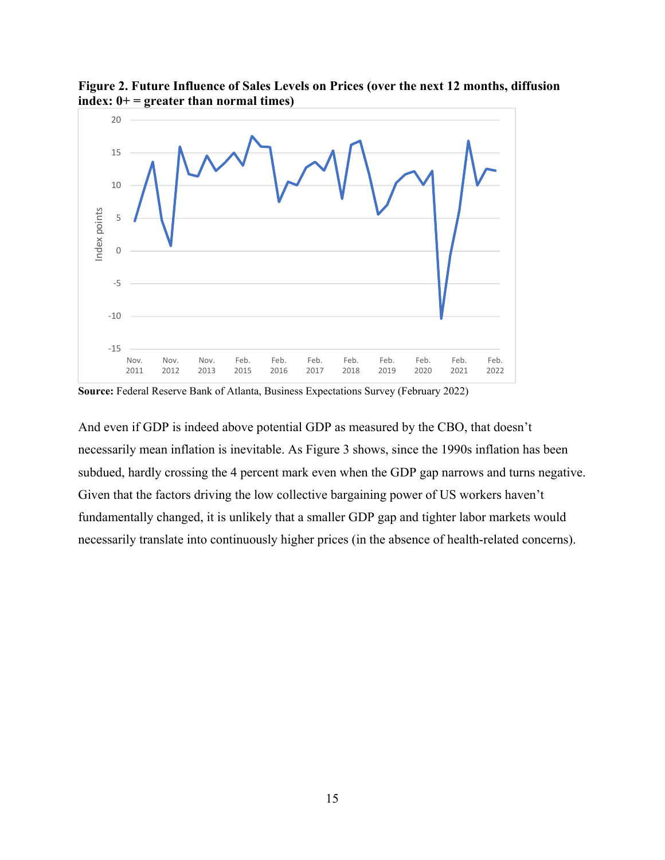

**Figure 2. Future Influence of Sales Levels on Prices (over the next 12 months, diffusion index: 0+ = greater than normal times)** 

**Source:** Federal Reserve Bank of Atlanta, Business Expectations Survey (February 2022)

And even if GDP is indeed above potential GDP as measured by the CBO, that doesn't necessarily mean inflation is inevitable. As Figure 3 shows, since the 1990s inflation has been subdued, hardly crossing the 4 percent mark even when the GDP gap narrows and turns negative. Given that the factors driving the low collective bargaining power of US workers haven't fundamentally changed, it is unlikely that a smaller GDP gap and tighter labor markets would necessarily translate into continuously higher prices (in the absence of health-related concerns).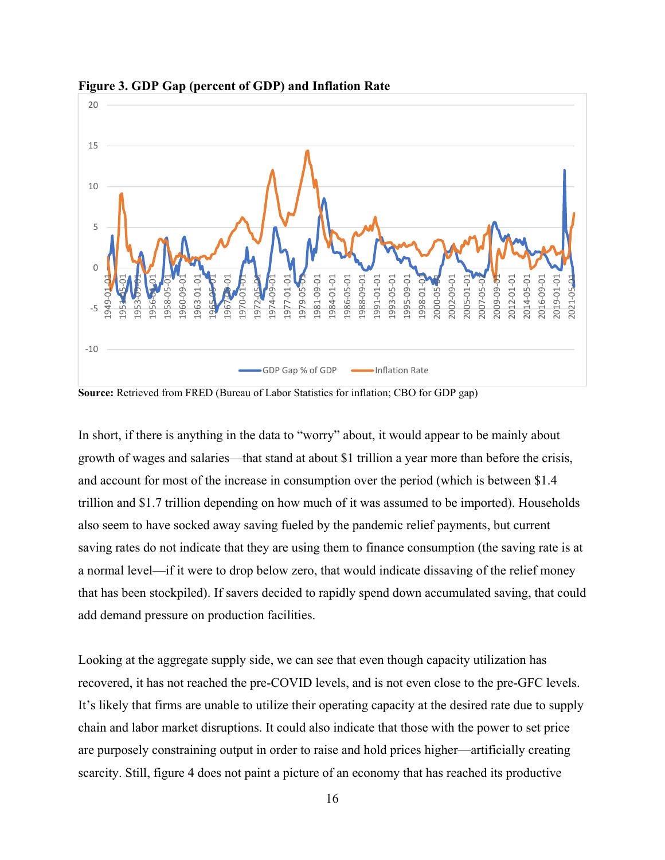

**Figure 3. GDP Gap (percent of GDP) and Inflation Rate** 

**Source:** Retrieved from FRED (Bureau of Labor Statistics for inflation; CBO for GDP gap)

In short, if there is anything in the data to "worry" about, it would appear to be mainly about growth of wages and salaries—that stand at about \$1 trillion a year more than before the crisis, and account for most of the increase in consumption over the period (which is between \$1.4 trillion and \$1.7 trillion depending on how much of it was assumed to be imported). Households also seem to have socked away saving fueled by the pandemic relief payments, but current saving rates do not indicate that they are using them to finance consumption (the saving rate is at a normal level—if it were to drop below zero, that would indicate dissaving of the relief money that has been stockpiled). If savers decided to rapidly spend down accumulated saving, that could add demand pressure on production facilities.

Looking at the aggregate supply side, we can see that even though capacity utilization has recovered, it has not reached the pre-COVID levels, and is not even close to the pre-GFC levels. It's likely that firms are unable to utilize their operating capacity at the desired rate due to supply chain and labor market disruptions. It could also indicate that those with the power to set price are purposely constraining output in order to raise and hold prices higher—artificially creating scarcity. Still, figure 4 does not paint a picture of an economy that has reached its productive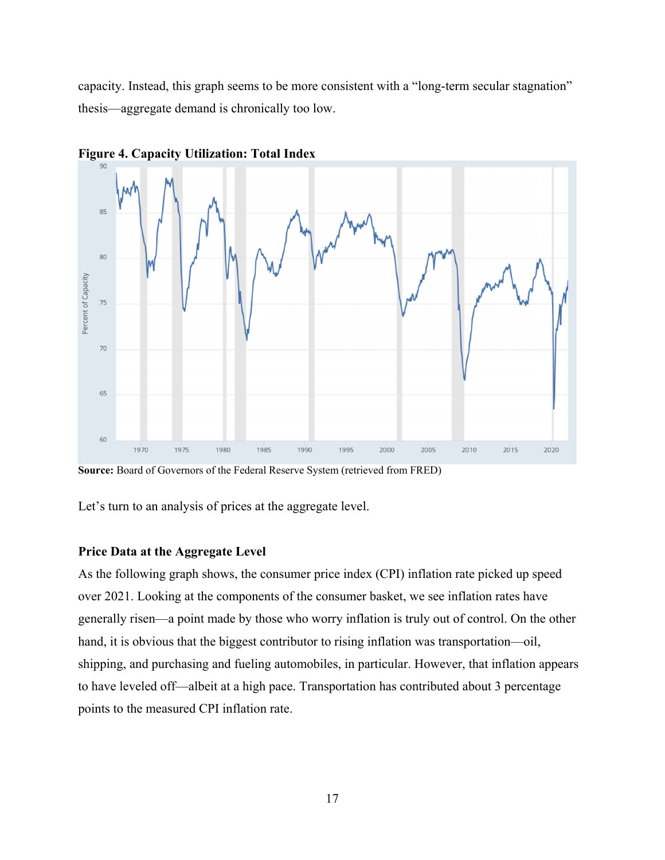capacity. Instead, this graph seems to be more consistent with a "long-term secular stagnation" thesis—aggregate demand is chronically too low.



**Figure 4. Capacity Utilization: Total Index** 

**Source:** Board of Governors of the Federal Reserve System (retrieved from FRED)

Let's turn to an analysis of prices at the aggregate level.

#### **Price Data at the Aggregate Level**

As the following graph shows, the consumer price index (CPI) inflation rate picked up speed over 2021. Looking at the components of the consumer basket, we see inflation rates have generally risen—a point made by those who worry inflation is truly out of control. On the other hand, it is obvious that the biggest contributor to rising inflation was transportation—oil, shipping, and purchasing and fueling automobiles, in particular. However, that inflation appears to have leveled off—albeit at a high pace. Transportation has contributed about 3 percentage points to the measured CPI inflation rate.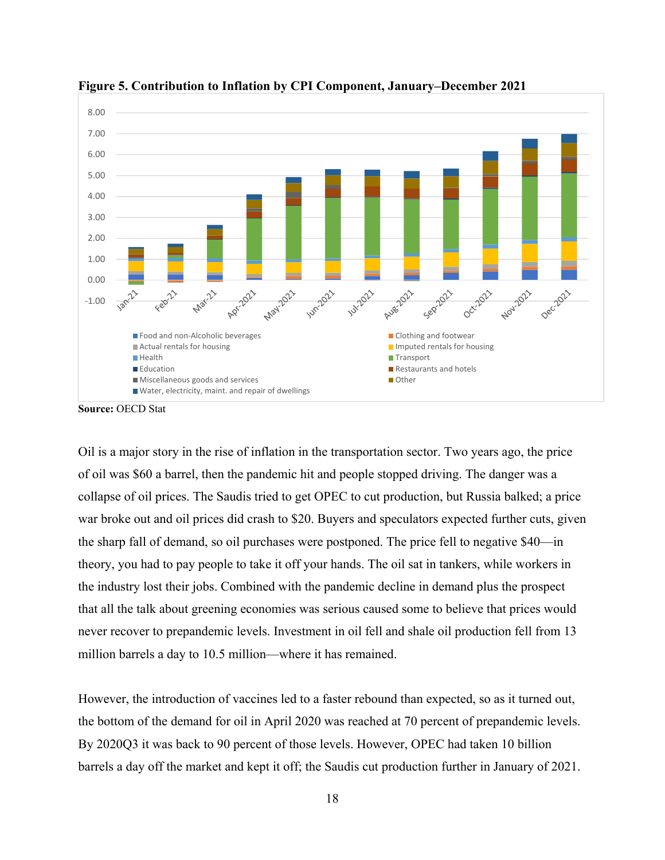

**Figure 5. Contribution to Inflation by CPI Component, January–December 2021** 

**Source:** OECD Stat

Oil is a major story in the rise of inflation in the transportation sector. Two years ago, the price of oil was \$60 a barrel, then the pandemic hit and people stopped driving. The danger was a collapse of oil prices. The Saudis tried to get OPEC to cut production, but Russia balked; a price war broke out and oil prices did crash to \$20. Buyers and speculators expected further cuts, given the sharp fall of demand, so oil purchases were postponed. The price fell to negative \$40—in theory, you had to pay people to take it off your hands. The oil sat in tankers, while workers in the industry lost their jobs. Combined with the pandemic decline in demand plus the prospect that all the talk about greening economies was serious caused some to believe that prices would never recover to prepandemic levels. Investment in oil fell and shale oil production fell from 13 million barrels a day to 10.5 million—where it has remained.

However, the introduction of vaccines led to a faster rebound than expected, so as it turned out, the bottom of the demand for oil in April 2020 was reached at 70 percent of prepandemic levels. By 2020Q3 it was back to 90 percent of those levels. However, OPEC had taken 10 billion barrels a day off the market and kept it off; the Saudis cut production further in January of 2021.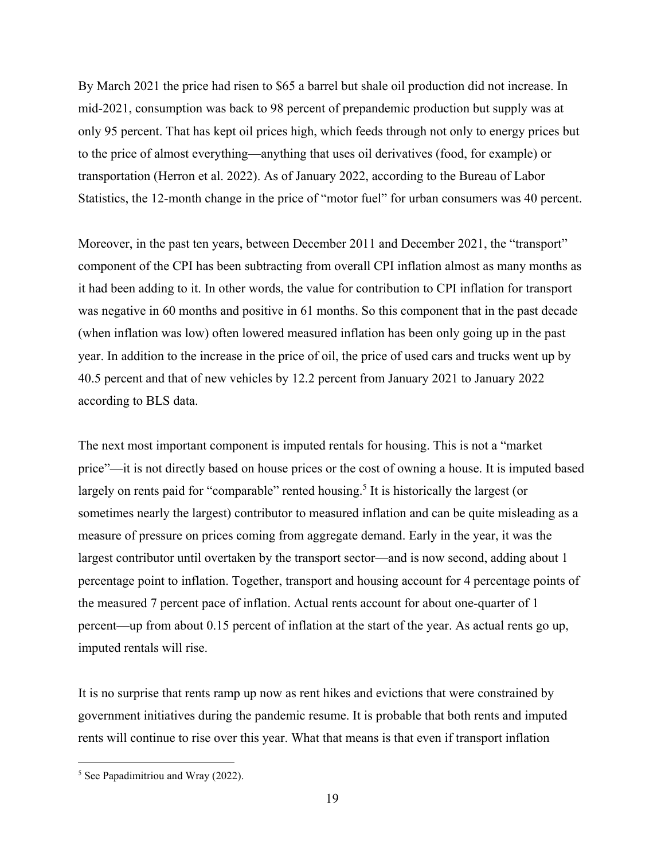By March 2021 the price had risen to \$65 a barrel but shale oil production did not increase. In mid-2021, consumption was back to 98 percent of prepandemic production but supply was at only 95 percent. That has kept oil prices high, which feeds through not only to energy prices but to the price of almost everything—anything that uses oil derivatives (food, for example) or transportation (Herron et al. 2022). As of January 2022, according to the Bureau of Labor Statistics, the 12-month change in the price of "motor fuel" for urban consumers was 40 percent.

Moreover, in the past ten years, between December 2011 and December 2021, the "transport" component of the CPI has been subtracting from overall CPI inflation almost as many months as it had been adding to it. In other words, the value for contribution to CPI inflation for transport was negative in 60 months and positive in 61 months. So this component that in the past decade (when inflation was low) often lowered measured inflation has been only going up in the past year. In addition to the increase in the price of oil, the price of used cars and trucks went up by 40.5 percent and that of new vehicles by 12.2 percent from January 2021 to January 2022 according to BLS data.

The next most important component is imputed rentals for housing. This is not a "market price"—it is not directly based on house prices or the cost of owning a house. It is imputed based largely on rents paid for "comparable" rented housing.<sup>5</sup> It is historically the largest (or sometimes nearly the largest) contributor to measured inflation and can be quite misleading as a measure of pressure on prices coming from aggregate demand. Early in the year, it was the largest contributor until overtaken by the transport sector—and is now second, adding about 1 percentage point to inflation. Together, transport and housing account for 4 percentage points of the measured 7 percent pace of inflation. Actual rents account for about one-quarter of 1 percent—up from about 0.15 percent of inflation at the start of the year. As actual rents go up, imputed rentals will rise.

It is no surprise that rents ramp up now as rent hikes and evictions that were constrained by government initiatives during the pandemic resume. It is probable that both rents and imputed rents will continue to rise over this year. What that means is that even if transport inflation

 5 See Papadimitriou and Wray (2022).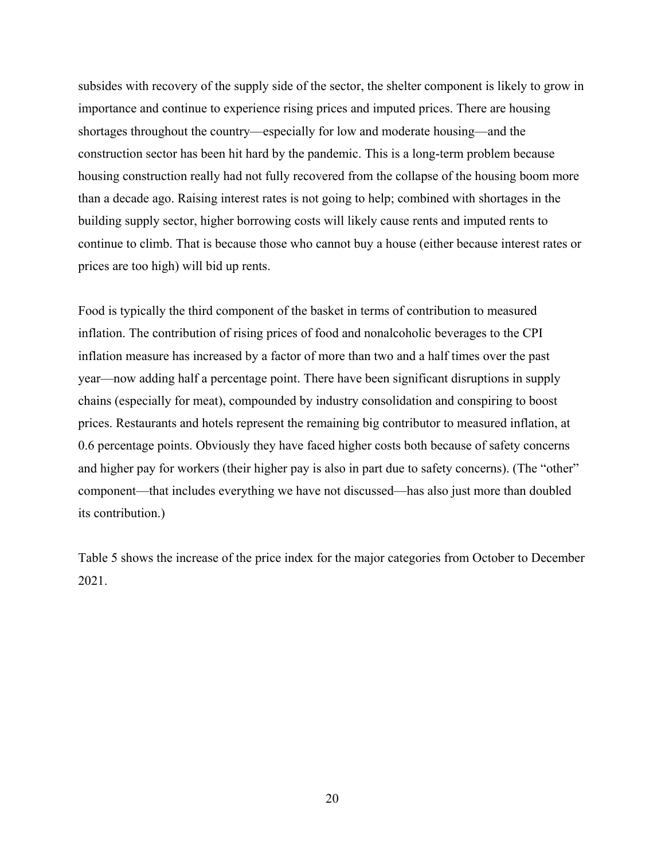subsides with recovery of the supply side of the sector, the shelter component is likely to grow in importance and continue to experience rising prices and imputed prices. There are housing shortages throughout the country—especially for low and moderate housing—and the construction sector has been hit hard by the pandemic. This is a long-term problem because housing construction really had not fully recovered from the collapse of the housing boom more than a decade ago. Raising interest rates is not going to help; combined with shortages in the building supply sector, higher borrowing costs will likely cause rents and imputed rents to continue to climb. That is because those who cannot buy a house (either because interest rates or prices are too high) will bid up rents.

Food is typically the third component of the basket in terms of contribution to measured inflation. The contribution of rising prices of food and nonalcoholic beverages to the CPI inflation measure has increased by a factor of more than two and a half times over the past year—now adding half a percentage point. There have been significant disruptions in supply chains (especially for meat), compounded by industry consolidation and conspiring to boost prices. Restaurants and hotels represent the remaining big contributor to measured inflation, at 0.6 percentage points. Obviously they have faced higher costs both because of safety concerns and higher pay for workers (their higher pay is also in part due to safety concerns). (The "other" component—that includes everything we have not discussed—has also just more than doubled its contribution.)

Table 5 shows the increase of the price index for the major categories from October to December 2021.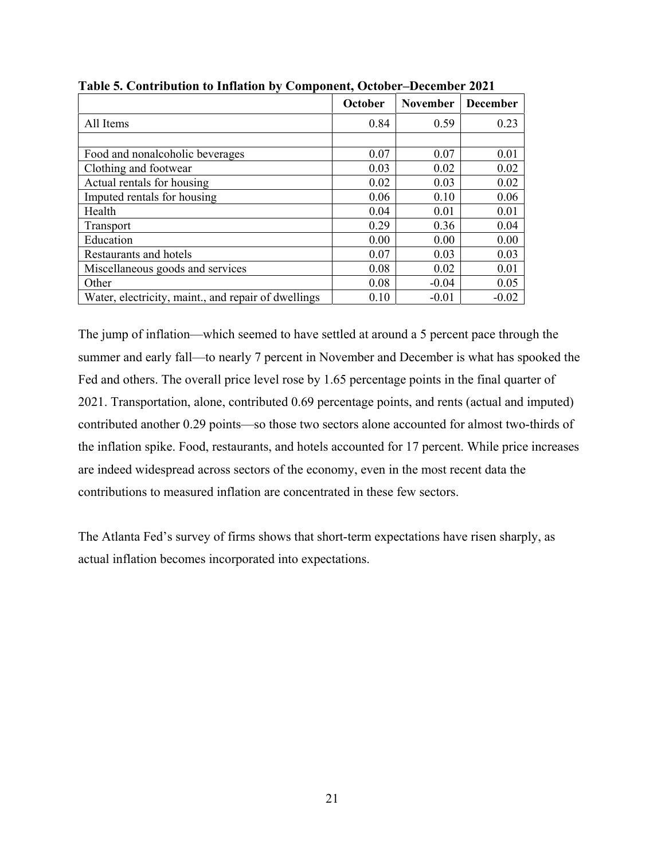|                                                     | October | <b>November</b> | <b>December</b> |
|-----------------------------------------------------|---------|-----------------|-----------------|
| All Items                                           | 0.84    | 0.59            | 0.23            |
|                                                     |         |                 |                 |
| Food and nonalcoholic beverages                     | 0.07    | 0.07            | 0.01            |
| Clothing and footwear                               | 0.03    | 0.02            | 0.02            |
| Actual rentals for housing                          | 0.02    | 0.03            | 0.02            |
| Imputed rentals for housing                         | 0.06    | 0.10            | 0.06            |
| Health                                              | 0.04    | 0.01            | 0.01            |
| <b>Transport</b>                                    | 0.29    | 0.36            | 0.04            |
| Education                                           | 0.00    | 0.00            | 0.00            |
| Restaurants and hotels                              | 0.07    | 0.03            | 0.03            |
| Miscellaneous goods and services                    | 0.08    | 0.02            | 0.01            |
| Other                                               | 0.08    | $-0.04$         | 0.05            |
| Water, electricity, maint., and repair of dwellings | 0.10    | $-0.01$         | $-0.02$         |

**Table 5. Contribution to Inflation by Component, October–December 2021** 

The jump of inflation—which seemed to have settled at around a 5 percent pace through the summer and early fall—to nearly 7 percent in November and December is what has spooked the Fed and others. The overall price level rose by 1.65 percentage points in the final quarter of 2021. Transportation, alone, contributed 0.69 percentage points, and rents (actual and imputed) contributed another 0.29 points—so those two sectors alone accounted for almost two-thirds of the inflation spike. Food, restaurants, and hotels accounted for 17 percent. While price increases are indeed widespread across sectors of the economy, even in the most recent data the contributions to measured inflation are concentrated in these few sectors.

The Atlanta Fed's survey of firms shows that short-term expectations have risen sharply, as actual inflation becomes incorporated into expectations.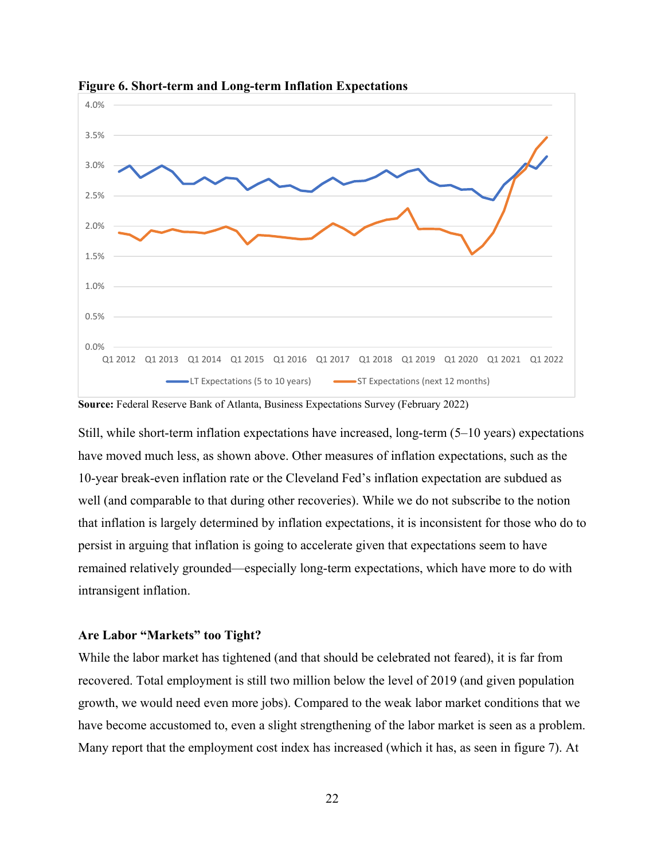

**Figure 6. Short-term and Long-term Inflation Expectations** 

**Source:** Federal Reserve Bank of Atlanta, Business Expectations Survey (February 2022)

Still, while short-term inflation expectations have increased, long-term  $(5-10 \text{ years})$  expectations have moved much less, as shown above. Other measures of inflation expectations, such as the 10-year break-even inflation rate or the Cleveland Fed's inflation expectation are subdued as well (and comparable to that during other recoveries). While we do not subscribe to the notion that inflation is largely determined by inflation expectations, it is inconsistent for those who do to persist in arguing that inflation is going to accelerate given that expectations seem to have remained relatively grounded—especially long-term expectations, which have more to do with intransigent inflation.

#### **Are Labor "Markets" too Tight?**

While the labor market has tightened (and that should be celebrated not feared), it is far from recovered. Total employment is still two million below the level of 2019 (and given population growth, we would need even more jobs). Compared to the weak labor market conditions that we have become accustomed to, even a slight strengthening of the labor market is seen as a problem. Many report that the employment cost index has increased (which it has, as seen in figure 7). At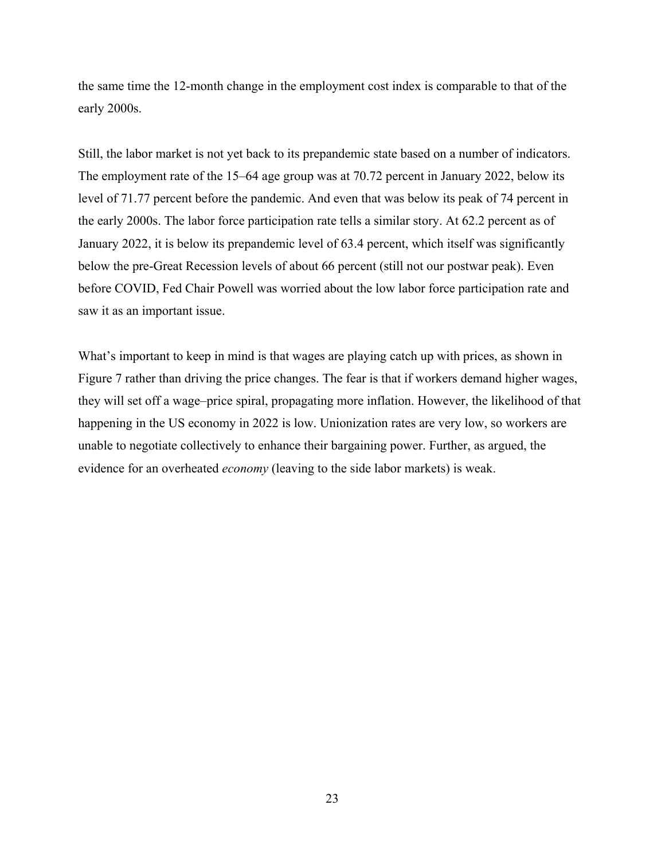the same time the 12-month change in the employment cost index is comparable to that of the early 2000s.

Still, the labor market is not yet back to its prepandemic state based on a number of indicators. The employment rate of the 15–64 age group was at 70.72 percent in January 2022, below its level of 71.77 percent before the pandemic. And even that was below its peak of 74 percent in the early 2000s. The labor force participation rate tells a similar story. At 62.2 percent as of January 2022, it is below its prepandemic level of 63.4 percent, which itself was significantly below the pre-Great Recession levels of about 66 percent (still not our postwar peak). Even before COVID, Fed Chair Powell was worried about the low labor force participation rate and saw it as an important issue.

What's important to keep in mind is that wages are playing catch up with prices, as shown in Figure 7 rather than driving the price changes. The fear is that if workers demand higher wages, they will set off a wage–price spiral, propagating more inflation. However, the likelihood of that happening in the US economy in 2022 is low. Unionization rates are very low, so workers are unable to negotiate collectively to enhance their bargaining power. Further, as argued, the evidence for an overheated *economy* (leaving to the side labor markets) is weak.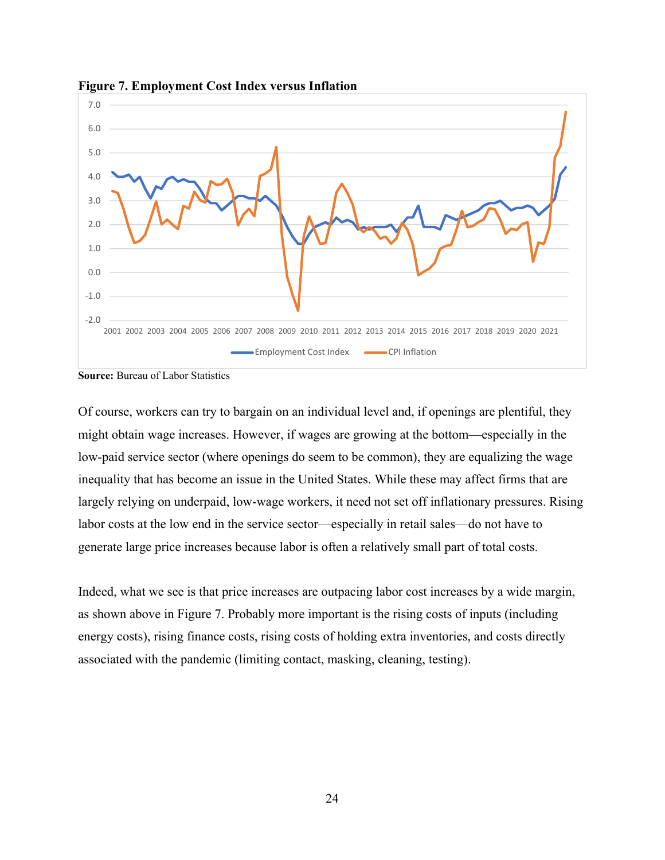

**Figure 7. Employment Cost Index versus Inflation** 

**Source:** Bureau of Labor Statistics

Of course, workers can try to bargain on an individual level and, if openings are plentiful, they might obtain wage increases. However, if wages are growing at the bottom—especially in the low-paid service sector (where openings do seem to be common), they are equalizing the wage inequality that has become an issue in the United States. While these may affect firms that are largely relying on underpaid, low-wage workers, it need not set off inflationary pressures. Rising labor costs at the low end in the service sector—especially in retail sales—do not have to generate large price increases because labor is often a relatively small part of total costs.

Indeed, what we see is that price increases are outpacing labor cost increases by a wide margin, as shown above in Figure 7. Probably more important is the rising costs of inputs (including energy costs), rising finance costs, rising costs of holding extra inventories, and costs directly associated with the pandemic (limiting contact, masking, cleaning, testing).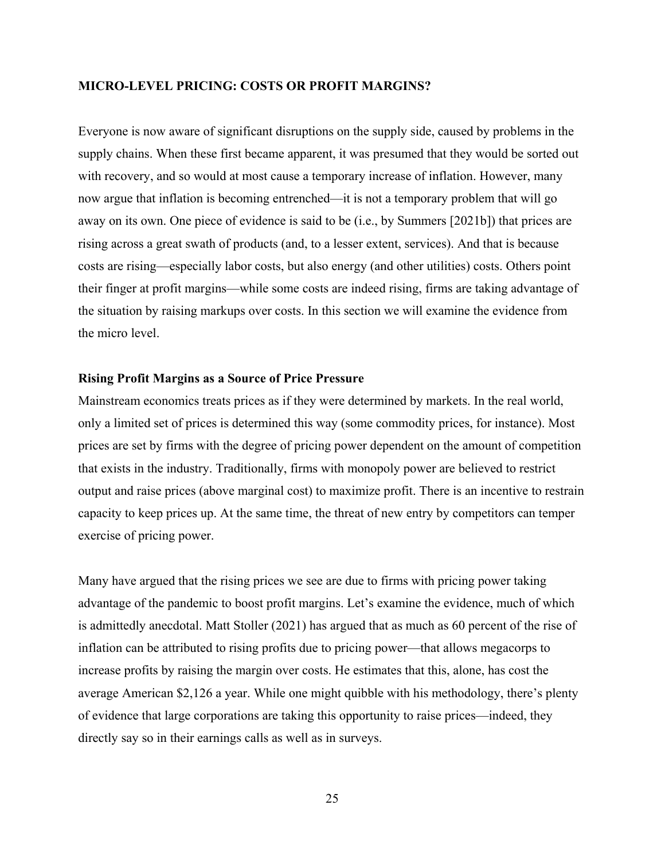#### **MICRO-LEVEL PRICING: COSTS OR PROFIT MARGINS?**

Everyone is now aware of significant disruptions on the supply side, caused by problems in the supply chains. When these first became apparent, it was presumed that they would be sorted out with recovery, and so would at most cause a temporary increase of inflation. However, many now argue that inflation is becoming entrenched—it is not a temporary problem that will go away on its own. One piece of evidence is said to be (i.e., by Summers [2021b]) that prices are rising across a great swath of products (and, to a lesser extent, services). And that is because costs are rising—especially labor costs, but also energy (and other utilities) costs. Others point their finger at profit margins—while some costs are indeed rising, firms are taking advantage of the situation by raising markups over costs. In this section we will examine the evidence from the micro level.

## **Rising Profit Margins as a Source of Price Pressure**

Mainstream economics treats prices as if they were determined by markets. In the real world, only a limited set of prices is determined this way (some commodity prices, for instance). Most prices are set by firms with the degree of pricing power dependent on the amount of competition that exists in the industry. Traditionally, firms with monopoly power are believed to restrict output and raise prices (above marginal cost) to maximize profit. There is an incentive to restrain capacity to keep prices up. At the same time, the threat of new entry by competitors can temper exercise of pricing power.

Many have argued that the rising prices we see are due to firms with pricing power taking advantage of the pandemic to boost profit margins. Let's examine the evidence, much of which is admittedly anecdotal. Matt Stoller (2021) has argued that as much as 60 percent of the rise of inflation can be attributed to rising profits due to pricing power—that allows megacorps to increase profits by raising the margin over costs. He estimates that this, alone, has cost the average American \$2,126 a year. While one might quibble with his methodology, there's plenty of evidence that large corporations are taking this opportunity to raise prices—indeed, they directly say so in their earnings calls as well as in surveys.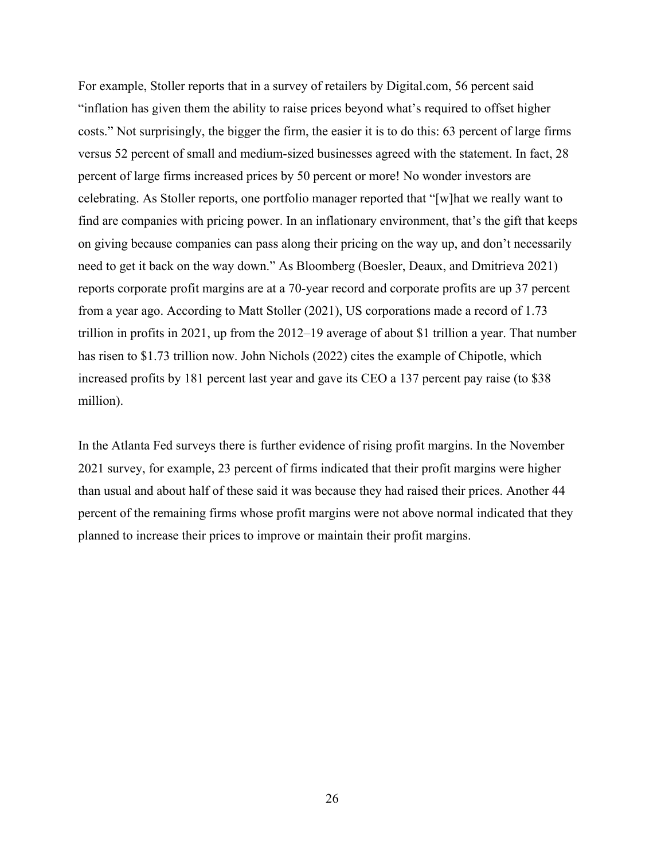For example, Stoller reports that in a survey of retailers by Digital.com, 56 percent said "inflation has given them the ability to raise prices beyond what's required to offset higher costs." Not surprisingly, the bigger the firm, the easier it is to do this: 63 percent of large firms versus 52 percent of small and medium-sized businesses agreed with the statement. In fact, 28 percent of large firms increased prices by 50 percent or more! No wonder investors are celebrating. As Stoller reports, one portfolio manager reported that "[w]hat we really want to find are companies with pricing power. In an inflationary environment, that's the gift that keeps on giving because companies can pass along their pricing on the way up, and don't necessarily need to get it back on the way down." As Bloomberg (Boesler, Deaux, and Dmitrieva 2021) reports corporate profit margins are at a 70-year record and corporate profits are up 37 percent from a year ago. According to Matt Stoller (2021), US corporations made a record of 1.73 trillion in profits in 2021, up from the 2012–19 average of about \$1 trillion a year. That number has risen to \$1.73 trillion now. John Nichols (2022) cites the example of Chipotle, which increased profits by 181 percent last year and gave its CEO a 137 percent pay raise (to \$38 million).

In the Atlanta Fed surveys there is further evidence of rising profit margins. In the November 2021 survey, for example, 23 percent of firms indicated that their profit margins were higher than usual and about half of these said it was because they had raised their prices. Another 44 percent of the remaining firms whose profit margins were not above normal indicated that they planned to increase their prices to improve or maintain their profit margins.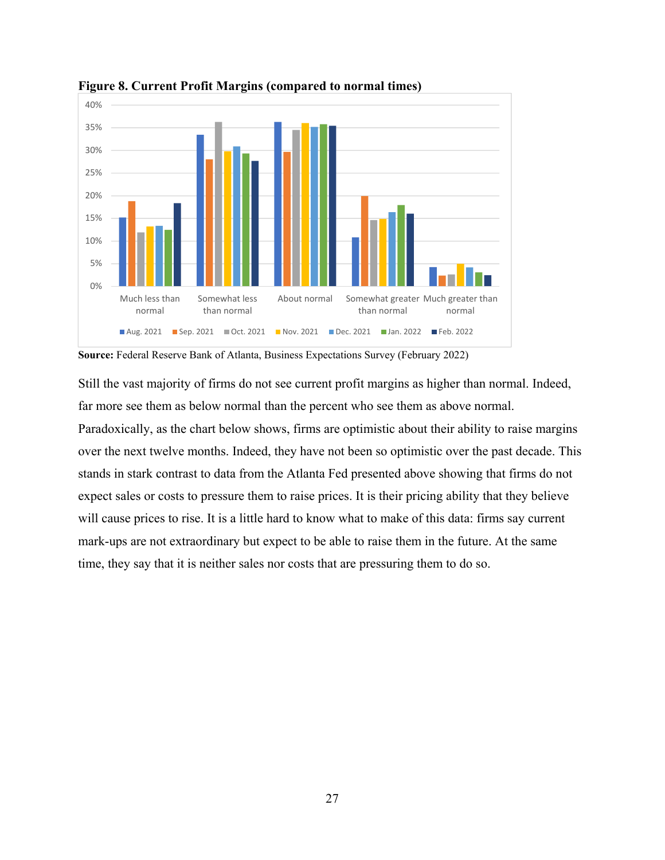

**Figure 8. Current Profit Margins (compared to normal times)** 

**Source:** Federal Reserve Bank of Atlanta, Business Expectations Survey (February 2022)

Still the vast majority of firms do not see current profit margins as higher than normal. Indeed, far more see them as below normal than the percent who see them as above normal.

Paradoxically, as the chart below shows, firms are optimistic about their ability to raise margins over the next twelve months. Indeed, they have not been so optimistic over the past decade. This stands in stark contrast to data from the Atlanta Fed presented above showing that firms do not expect sales or costs to pressure them to raise prices. It is their pricing ability that they believe will cause prices to rise. It is a little hard to know what to make of this data: firms say current mark-ups are not extraordinary but expect to be able to raise them in the future. At the same time, they say that it is neither sales nor costs that are pressuring them to do so.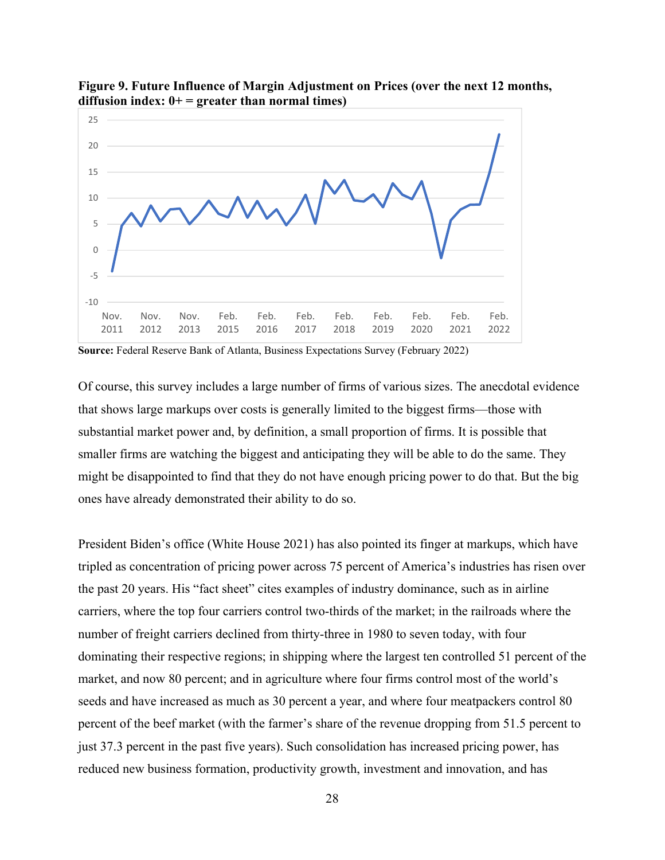

**Figure 9. Future Influence of Margin Adjustment on Prices (over the next 12 months, diffusion index: 0+ = greater than normal times)** 

**Source:** Federal Reserve Bank of Atlanta, Business Expectations Survey (February 2022)

Of course, this survey includes a large number of firms of various sizes. The anecdotal evidence that shows large markups over costs is generally limited to the biggest firms—those with substantial market power and, by definition, a small proportion of firms. It is possible that smaller firms are watching the biggest and anticipating they will be able to do the same. They might be disappointed to find that they do not have enough pricing power to do that. But the big ones have already demonstrated their ability to do so.

President Biden's office (White House 2021) has also pointed its finger at markups, which have tripled as concentration of pricing power across 75 percent of America's industries has risen over the past 20 years. His "fact sheet" cites examples of industry dominance, such as in airline carriers, where the top four carriers control two-thirds of the market; in the railroads where the number of freight carriers declined from thirty-three in 1980 to seven today, with four dominating their respective regions; in shipping where the largest ten controlled 51 percent of the market, and now 80 percent; and in agriculture where four firms control most of the world's seeds and have increased as much as 30 percent a year, and where four meatpackers control 80 percent of the beef market (with the farmer's share of the revenue dropping from 51.5 percent to just 37.3 percent in the past five years). Such consolidation has increased pricing power, has reduced new business formation, productivity growth, investment and innovation, and has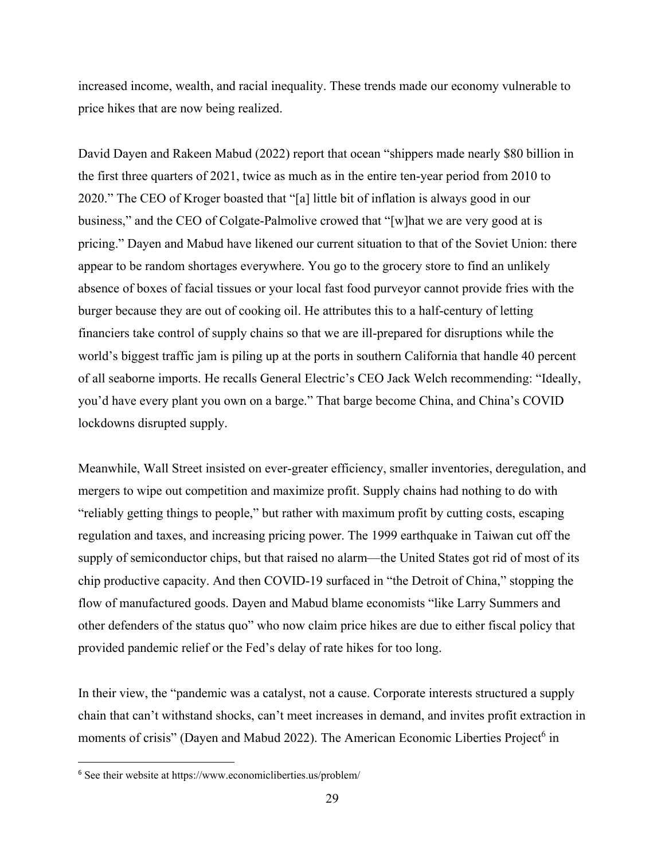increased income, wealth, and racial inequality. These trends made our economy vulnerable to price hikes that are now being realized.

David Dayen and Rakeen Mabud (2022) report that ocean "shippers made nearly \$80 billion in the first three quarters of 2021, twice as much as in the entire ten-year period from 2010 to 2020." The CEO of Kroger boasted that "[a] little bit of inflation is always good in our business," and the CEO of Colgate-Palmolive crowed that "[w]hat we are very good at is pricing." Dayen and Mabud have likened our current situation to that of the Soviet Union: there appear to be random shortages everywhere. You go to the grocery store to find an unlikely absence of boxes of facial tissues or your local fast food purveyor cannot provide fries with the burger because they are out of cooking oil. He attributes this to a half-century of letting financiers take control of supply chains so that we are ill-prepared for disruptions while the world's biggest traffic jam is piling up at the ports in southern California that handle 40 percent of all seaborne imports. He recalls General Electric's CEO Jack Welch recommending: "Ideally, you'd have every plant you own on a barge." That barge become China, and China's COVID lockdowns disrupted supply.

Meanwhile, Wall Street insisted on ever-greater efficiency, smaller inventories, deregulation, and mergers to wipe out competition and maximize profit. Supply chains had nothing to do with "reliably getting things to people," but rather with maximum profit by cutting costs, escaping regulation and taxes, and increasing pricing power. The 1999 earthquake in Taiwan cut off the supply of semiconductor chips, but that raised no alarm—the United States got rid of most of its chip productive capacity. And then COVID-19 surfaced in "the Detroit of China," stopping the flow of manufactured goods. Dayen and Mabud blame economists "like Larry Summers and other defenders of the status quo" who now claim price hikes are due to either fiscal policy that provided pandemic relief or the Fed's delay of rate hikes for too long.

In their view, the "pandemic was a catalyst, not a cause. Corporate interests structured a supply chain that can't withstand shocks, can't meet increases in demand, and invites profit extraction in moments of crisis" (Dayen and Mabud 2022). The American Economic Liberties Project<sup>6</sup> in

<sup>6</sup> See their website at https://www.economicliberties.us/problem/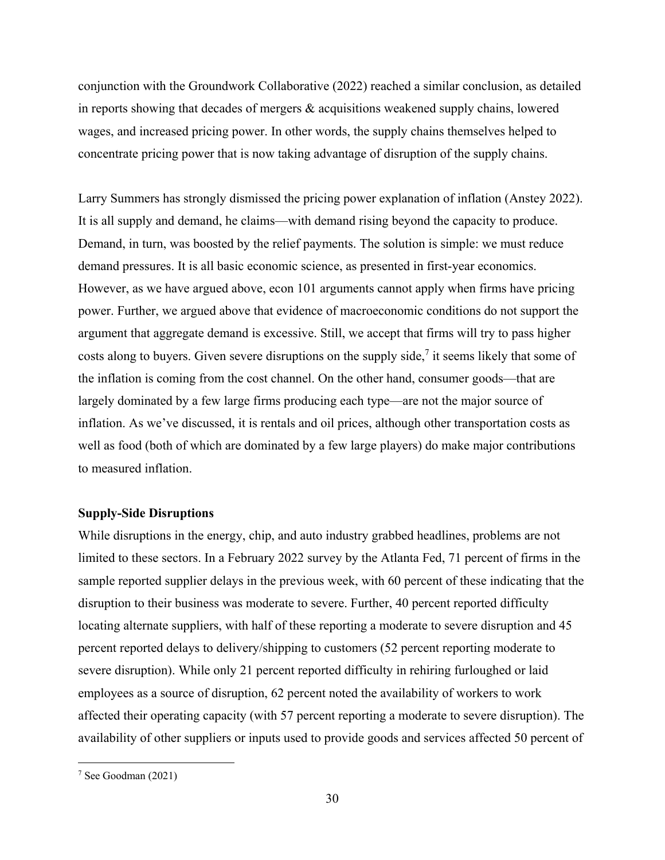conjunction with the Groundwork Collaborative (2022) reached a similar conclusion, as detailed in reports showing that decades of mergers & acquisitions weakened supply chains, lowered wages, and increased pricing power. In other words, the supply chains themselves helped to concentrate pricing power that is now taking advantage of disruption of the supply chains.

Larry Summers has strongly dismissed the pricing power explanation of inflation (Anstey 2022). It is all supply and demand, he claims—with demand rising beyond the capacity to produce. Demand, in turn, was boosted by the relief payments. The solution is simple: we must reduce demand pressures. It is all basic economic science, as presented in first-year economics. However, as we have argued above, econ 101 arguments cannot apply when firms have pricing power. Further, we argued above that evidence of macroeconomic conditions do not support the argument that aggregate demand is excessive. Still, we accept that firms will try to pass higher costs along to buyers. Given severe disruptions on the supply side,<sup>7</sup> it seems likely that some of the inflation is coming from the cost channel. On the other hand, consumer goods—that are largely dominated by a few large firms producing each type—are not the major source of inflation. As we've discussed, it is rentals and oil prices, although other transportation costs as well as food (both of which are dominated by a few large players) do make major contributions to measured inflation.

## **Supply-Side Disruptions**

While disruptions in the energy, chip, and auto industry grabbed headlines, problems are not limited to these sectors. In a February 2022 survey by the Atlanta Fed, 71 percent of firms in the sample reported supplier delays in the previous week, with 60 percent of these indicating that the disruption to their business was moderate to severe. Further, 40 percent reported difficulty locating alternate suppliers, with half of these reporting a moderate to severe disruption and 45 percent reported delays to delivery/shipping to customers (52 percent reporting moderate to severe disruption). While only 21 percent reported difficulty in rehiring furloughed or laid employees as a source of disruption, 62 percent noted the availability of workers to work affected their operating capacity (with 57 percent reporting a moderate to severe disruption). The availability of other suppliers or inputs used to provide goods and services affected 50 percent of

<sup>7</sup> See Goodman (2021)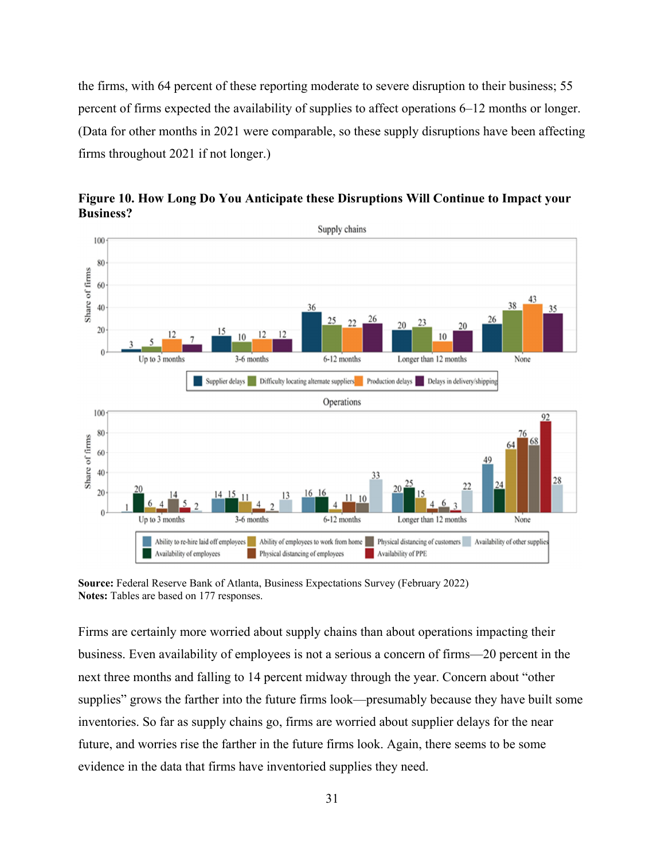the firms, with 64 percent of these reporting moderate to severe disruption to their business; 55 percent of firms expected the availability of supplies to affect operations 6–12 months or longer. (Data for other months in 2021 were comparable, so these supply disruptions have been affecting firms throughout 2021 if not longer.)



**Figure 10. How Long Do You Anticipate these Disruptions Will Continue to Impact your Business?** 

**Source:** Federal Reserve Bank of Atlanta, Business Expectations Survey (February 2022) **Notes:** Tables are based on 177 responses.

Firms are certainly more worried about supply chains than about operations impacting their business. Even availability of employees is not a serious a concern of firms—20 percent in the next three months and falling to 14 percent midway through the year. Concern about "other supplies" grows the farther into the future firms look—presumably because they have built some inventories. So far as supply chains go, firms are worried about supplier delays for the near future, and worries rise the farther in the future firms look. Again, there seems to be some evidence in the data that firms have inventoried supplies they need.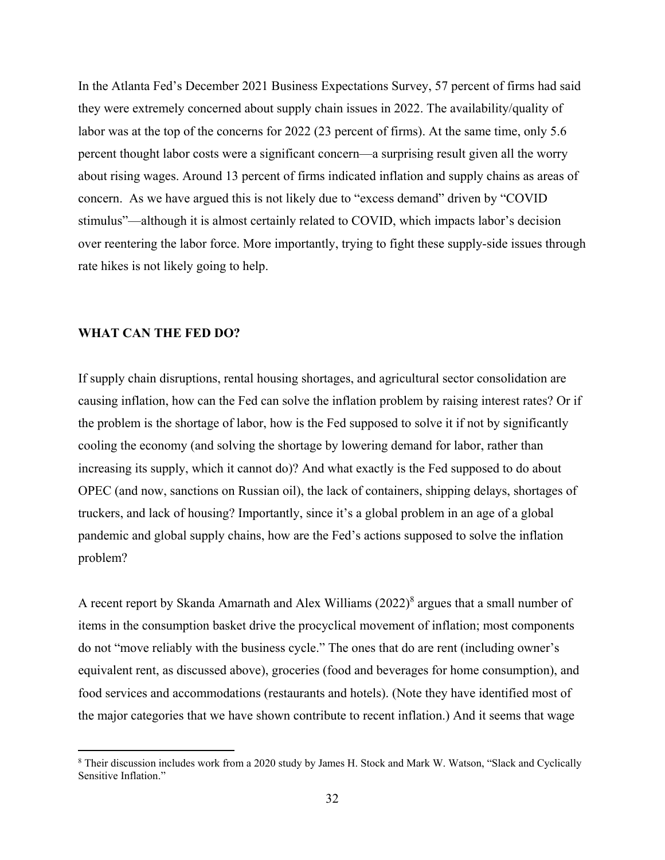In the Atlanta Fed's December 2021 Business Expectations Survey, 57 percent of firms had said they were extremely concerned about supply chain issues in 2022. The availability/quality of labor was at the top of the concerns for 2022 (23 percent of firms). At the same time, only 5.6 percent thought labor costs were a significant concern—a surprising result given all the worry about rising wages. Around 13 percent of firms indicated inflation and supply chains as areas of concern. As we have argued this is not likely due to "excess demand" driven by "COVID stimulus"—although it is almost certainly related to COVID, which impacts labor's decision over reentering the labor force. More importantly, trying to fight these supply-side issues through rate hikes is not likely going to help.

### **WHAT CAN THE FED DO?**

If supply chain disruptions, rental housing shortages, and agricultural sector consolidation are causing inflation, how can the Fed can solve the inflation problem by raising interest rates? Or if the problem is the shortage of labor, how is the Fed supposed to solve it if not by significantly cooling the economy (and solving the shortage by lowering demand for labor, rather than increasing its supply, which it cannot do)? And what exactly is the Fed supposed to do about OPEC (and now, sanctions on Russian oil), the lack of containers, shipping delays, shortages of truckers, and lack of housing? Importantly, since it's a global problem in an age of a global pandemic and global supply chains, how are the Fed's actions supposed to solve the inflation problem?

A recent report by Skanda Amarnath and Alex Williams (2022)<sup>8</sup> argues that a small number of items in the consumption basket drive the procyclical movement of inflation; most components do not "move reliably with the business cycle." The ones that do are rent (including owner's equivalent rent, as discussed above), groceries (food and beverages for home consumption), and food services and accommodations (restaurants and hotels). (Note they have identified most of the major categories that we have shown contribute to recent inflation.) And it seems that wage

<sup>&</sup>lt;sup>8</sup> Their discussion includes work from a 2020 study by James H. Stock and Mark W. Watson, "Slack and Cyclically Sensitive Inflation."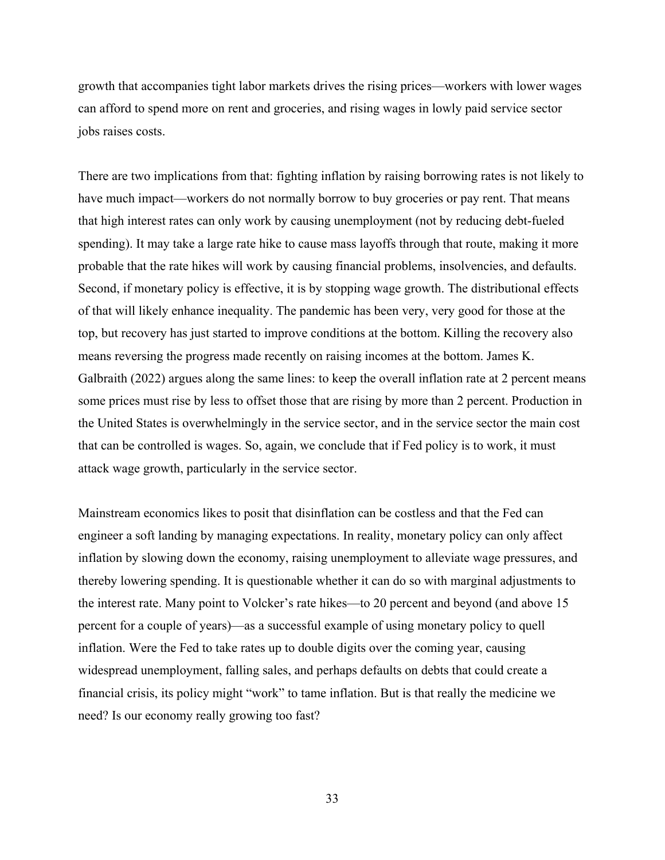growth that accompanies tight labor markets drives the rising prices—workers with lower wages can afford to spend more on rent and groceries, and rising wages in lowly paid service sector jobs raises costs.

There are two implications from that: fighting inflation by raising borrowing rates is not likely to have much impact—workers do not normally borrow to buy groceries or pay rent. That means that high interest rates can only work by causing unemployment (not by reducing debt-fueled spending). It may take a large rate hike to cause mass layoffs through that route, making it more probable that the rate hikes will work by causing financial problems, insolvencies, and defaults. Second, if monetary policy is effective, it is by stopping wage growth. The distributional effects of that will likely enhance inequality. The pandemic has been very, very good for those at the top, but recovery has just started to improve conditions at the bottom. Killing the recovery also means reversing the progress made recently on raising incomes at the bottom. James K. Galbraith (2022) argues along the same lines: to keep the overall inflation rate at 2 percent means some prices must rise by less to offset those that are rising by more than 2 percent. Production in the United States is overwhelmingly in the service sector, and in the service sector the main cost that can be controlled is wages. So, again, we conclude that if Fed policy is to work, it must attack wage growth, particularly in the service sector.

Mainstream economics likes to posit that disinflation can be costless and that the Fed can engineer a soft landing by managing expectations. In reality, monetary policy can only affect inflation by slowing down the economy, raising unemployment to alleviate wage pressures, and thereby lowering spending. It is questionable whether it can do so with marginal adjustments to the interest rate. Many point to Volcker's rate hikes—to 20 percent and beyond (and above 15 percent for a couple of years)—as a successful example of using monetary policy to quell inflation. Were the Fed to take rates up to double digits over the coming year, causing widespread unemployment, falling sales, and perhaps defaults on debts that could create a financial crisis, its policy might "work" to tame inflation. But is that really the medicine we need? Is our economy really growing too fast?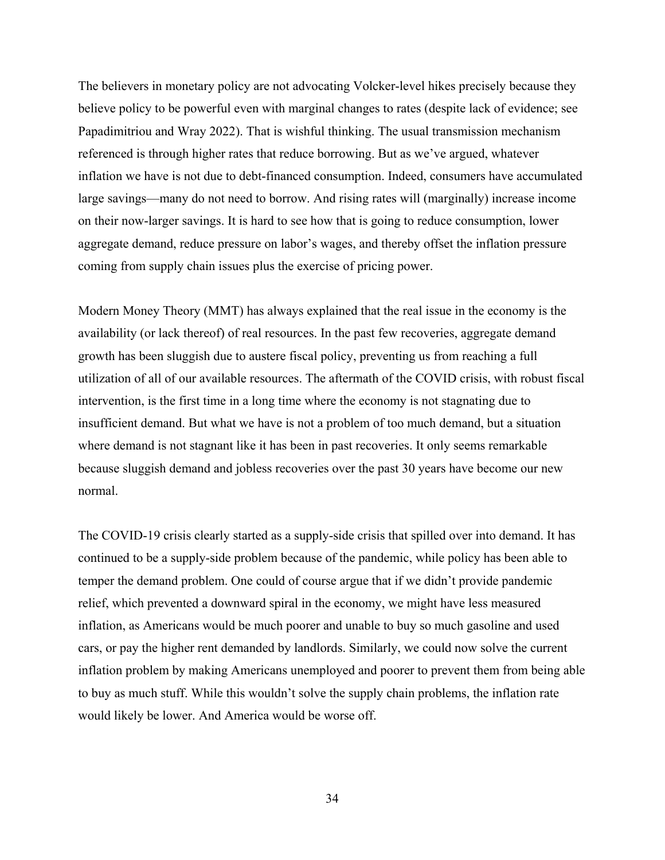The believers in monetary policy are not advocating Volcker-level hikes precisely because they believe policy to be powerful even with marginal changes to rates (despite lack of evidence; see Papadimitriou and Wray 2022). That is wishful thinking. The usual transmission mechanism referenced is through higher rates that reduce borrowing. But as we've argued, whatever inflation we have is not due to debt-financed consumption. Indeed, consumers have accumulated large savings—many do not need to borrow. And rising rates will (marginally) increase income on their now-larger savings. It is hard to see how that is going to reduce consumption, lower aggregate demand, reduce pressure on labor's wages, and thereby offset the inflation pressure coming from supply chain issues plus the exercise of pricing power.

Modern Money Theory (MMT) has always explained that the real issue in the economy is the availability (or lack thereof) of real resources. In the past few recoveries, aggregate demand growth has been sluggish due to austere fiscal policy, preventing us from reaching a full utilization of all of our available resources. The aftermath of the COVID crisis, with robust fiscal intervention, is the first time in a long time where the economy is not stagnating due to insufficient demand. But what we have is not a problem of too much demand, but a situation where demand is not stagnant like it has been in past recoveries. It only seems remarkable because sluggish demand and jobless recoveries over the past 30 years have become our new normal.

The COVID-19 crisis clearly started as a supply-side crisis that spilled over into demand. It has continued to be a supply-side problem because of the pandemic, while policy has been able to temper the demand problem. One could of course argue that if we didn't provide pandemic relief, which prevented a downward spiral in the economy, we might have less measured inflation, as Americans would be much poorer and unable to buy so much gasoline and used cars, or pay the higher rent demanded by landlords. Similarly, we could now solve the current inflation problem by making Americans unemployed and poorer to prevent them from being able to buy as much stuff. While this wouldn't solve the supply chain problems, the inflation rate would likely be lower. And America would be worse off.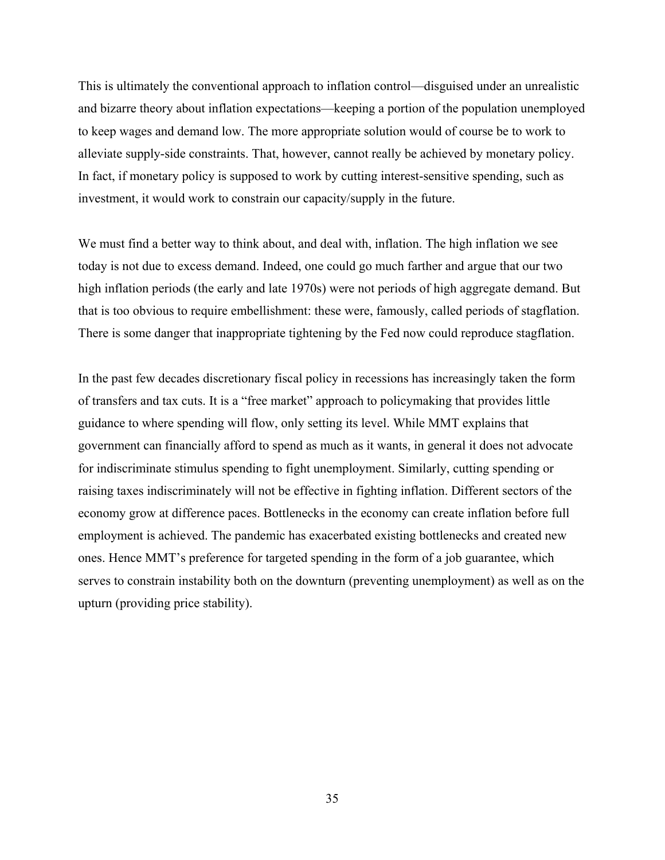This is ultimately the conventional approach to inflation control—disguised under an unrealistic and bizarre theory about inflation expectations—keeping a portion of the population unemployed to keep wages and demand low. The more appropriate solution would of course be to work to alleviate supply-side constraints. That, however, cannot really be achieved by monetary policy. In fact, if monetary policy is supposed to work by cutting interest-sensitive spending, such as investment, it would work to constrain our capacity/supply in the future.

We must find a better way to think about, and deal with, inflation. The high inflation we see today is not due to excess demand. Indeed, one could go much farther and argue that our two high inflation periods (the early and late 1970s) were not periods of high aggregate demand. But that is too obvious to require embellishment: these were, famously, called periods of stagflation. There is some danger that inappropriate tightening by the Fed now could reproduce stagflation.

In the past few decades discretionary fiscal policy in recessions has increasingly taken the form of transfers and tax cuts. It is a "free market" approach to policymaking that provides little guidance to where spending will flow, only setting its level. While MMT explains that government can financially afford to spend as much as it wants, in general it does not advocate for indiscriminate stimulus spending to fight unemployment. Similarly, cutting spending or raising taxes indiscriminately will not be effective in fighting inflation. Different sectors of the economy grow at difference paces. Bottlenecks in the economy can create inflation before full employment is achieved. The pandemic has exacerbated existing bottlenecks and created new ones. Hence MMT's preference for targeted spending in the form of a job guarantee, which serves to constrain instability both on the downturn (preventing unemployment) as well as on the upturn (providing price stability).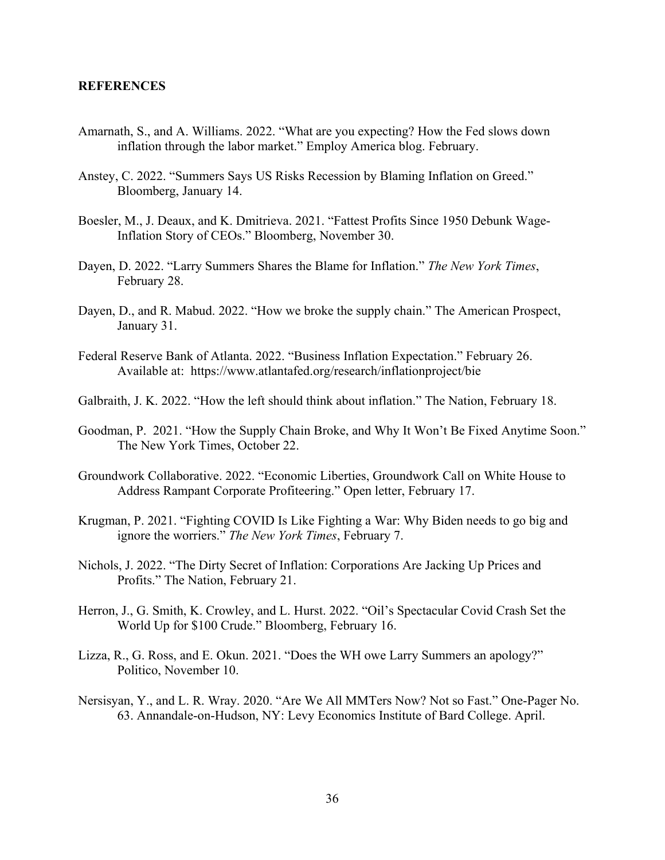## **REFERENCES**

- Amarnath, S., and A. Williams. 2022. "What are you expecting? How the Fed slows down inflation through the labor market." Employ America blog. February.
- Anstey, C. 2022. "Summers Says US Risks Recession by Blaming Inflation on Greed." Bloomberg, January 14.
- Boesler, M., J. Deaux, and K. Dmitrieva. 2021. "Fattest Profits Since 1950 Debunk Wage-Inflation Story of CEOs." Bloomberg, November 30.
- Dayen, D. 2022. "Larry Summers Shares the Blame for Inflation." *The New York Times*, February 28.
- Dayen, D., and R. Mabud. 2022. "How we broke the supply chain." The American Prospect, January 31.
- Federal Reserve Bank of Atlanta. 2022. "Business Inflation Expectation." February 26. Available at: https://www.atlantafed.org/research/inflationproject/bie
- Galbraith, J. K. 2022. "How the left should think about inflation." The Nation, February 18.
- Goodman, P. 2021. "How the Supply Chain Broke, and Why It Won't Be Fixed Anytime Soon." The New York Times, October 22.
- Groundwork Collaborative. 2022. "Economic Liberties, Groundwork Call on White House to Address Rampant Corporate Profiteering." Open letter, February 17.
- Krugman, P. 2021. "Fighting COVID Is Like Fighting a War: Why Biden needs to go big and ignore the worriers." *The New York Times*, February 7.
- Nichols, J. 2022. "The Dirty Secret of Inflation: Corporations Are Jacking Up Prices and Profits." The Nation, February 21.
- Herron, J., G. Smith, K. Crowley, and L. Hurst. 2022. "Oil's Spectacular Covid Crash Set the World Up for \$100 Crude." Bloomberg, February 16.
- Lizza, R., G. Ross, and E. Okun. 2021. "Does the WH owe Larry Summers an apology?" Politico, November 10.
- Nersisyan, Y., and L. R. Wray. 2020. "Are We All MMTers Now? Not so Fast." One-Pager No. 63. Annandale-on-Hudson, NY: Levy Economics Institute of Bard College. April.